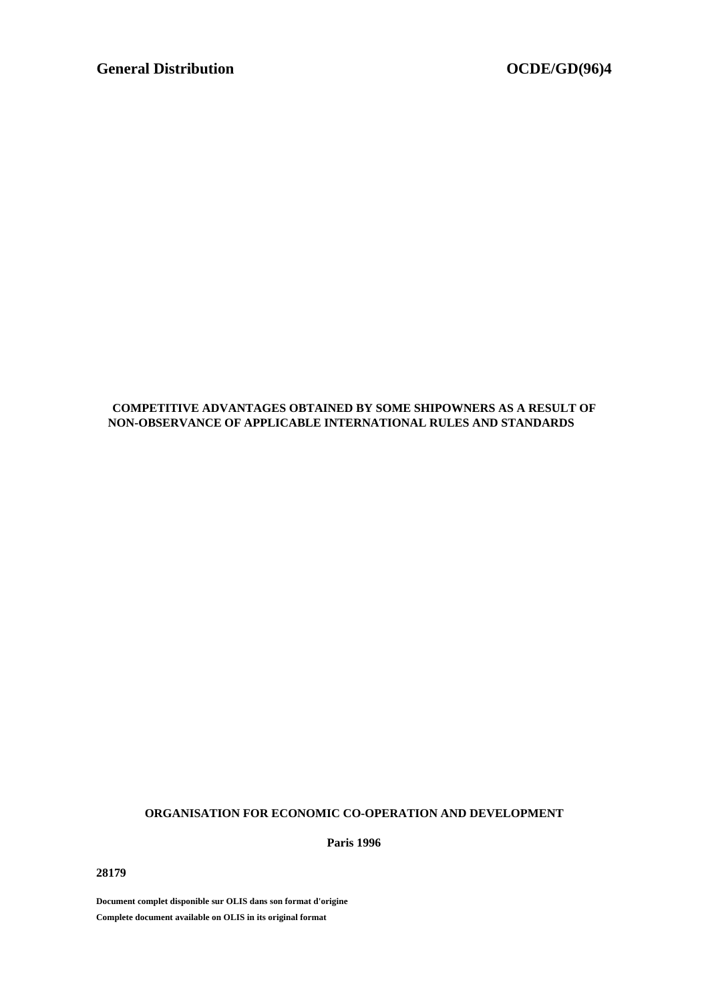# **COMPETITIVE ADVANTAGES OBTAINED BY SOME SHIPOWNERS AS A RESULT OF NON-OBSERVANCE OF APPLICABLE INTERNATIONAL RULES AND STANDARDS**

# **ORGANISATION FOR ECONOMIC CO-OPERATION AND DEVELOPMENT**

**Paris 1996**

**28179**

**Document complet disponible sur OLIS dans son format d'origine Complete document available on OLIS in its original format**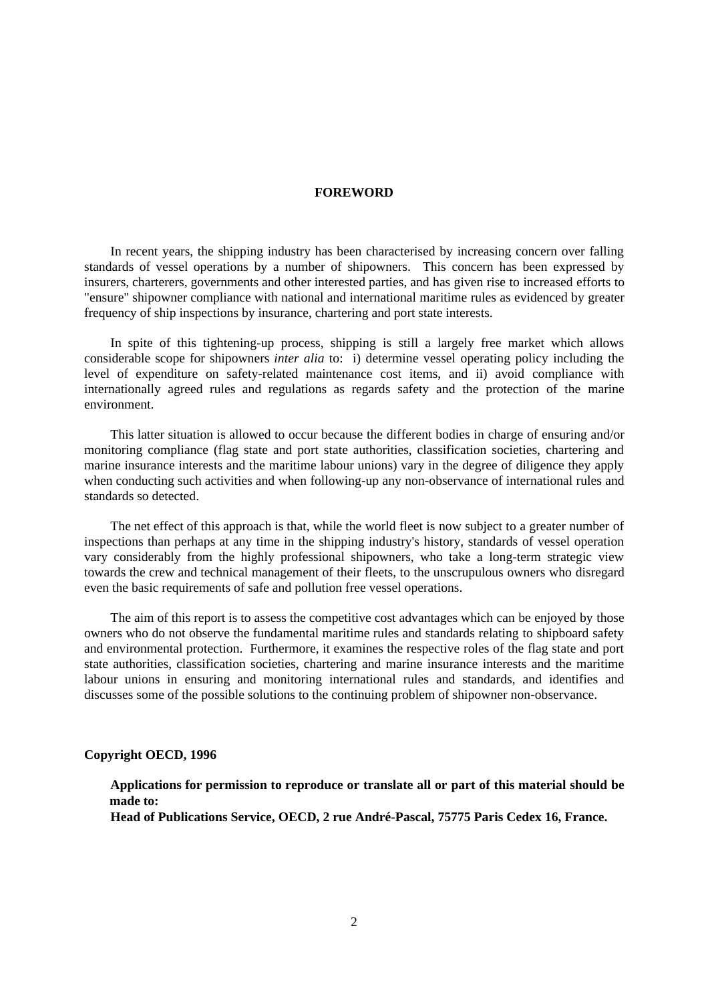### **FOREWORD**

In recent years, the shipping industry has been characterised by increasing concern over falling standards of vessel operations by a number of shipowners. This concern has been expressed by insurers, charterers, governments and other interested parties, and has given rise to increased efforts to "ensure" shipowner compliance with national and international maritime rules as evidenced by greater frequency of ship inspections by insurance, chartering and port state interests.

In spite of this tightening-up process, shipping is still a largely free market which allows considerable scope for shipowners *inter alia* to: i) determine vessel operating policy including the level of expenditure on safety-related maintenance cost items, and ii) avoid compliance with internationally agreed rules and regulations as regards safety and the protection of the marine environment.

This latter situation is allowed to occur because the different bodies in charge of ensuring and/or monitoring compliance (flag state and port state authorities, classification societies, chartering and marine insurance interests and the maritime labour unions) vary in the degree of diligence they apply when conducting such activities and when following-up any non-observance of international rules and standards so detected.

The net effect of this approach is that, while the world fleet is now subject to a greater number of inspections than perhaps at any time in the shipping industry's history, standards of vessel operation vary considerably from the highly professional shipowners, who take a long-term strategic view towards the crew and technical management of their fleets, to the unscrupulous owners who disregard even the basic requirements of safe and pollution free vessel operations.

The aim of this report is to assess the competitive cost advantages which can be enjoyed by those owners who do not observe the fundamental maritime rules and standards relating to shipboard safety and environmental protection. Furthermore, it examines the respective roles of the flag state and port state authorities, classification societies, chartering and marine insurance interests and the maritime labour unions in ensuring and monitoring international rules and standards, and identifies and discusses some of the possible solutions to the continuing problem of shipowner non-observance.

#### **Copyright OECD, 1996**

# **Applications for permission to reproduce or translate all or part of this material should be made to:**

**Head of Publications Service, OECD, 2 rue André-Pascal, 75775 Paris Cedex 16, France.**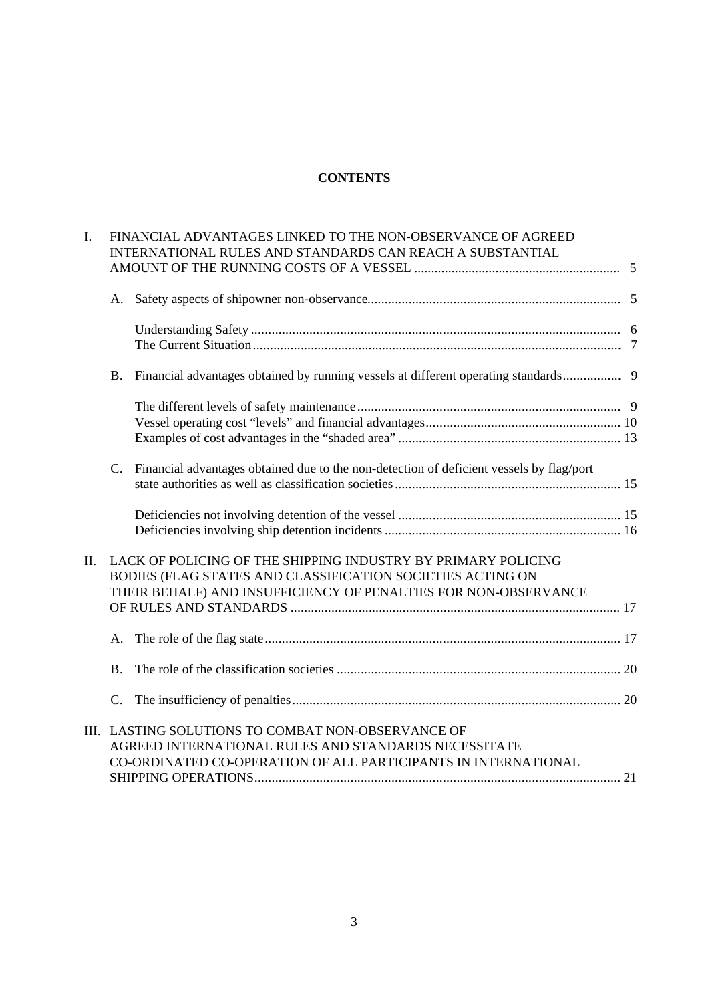# **CONTENTS**

| I.  |           | FINANCIAL ADVANTAGES LINKED TO THE NON-OBSERVANCE OF AGREED<br>INTERNATIONAL RULES AND STANDARDS CAN REACH A SUBSTANTIAL                                                                       |  |
|-----|-----------|------------------------------------------------------------------------------------------------------------------------------------------------------------------------------------------------|--|
|     |           |                                                                                                                                                                                                |  |
|     | A.        |                                                                                                                                                                                                |  |
|     |           |                                                                                                                                                                                                |  |
|     | <b>B.</b> | Financial advantages obtained by running vessels at different operating standards 9                                                                                                            |  |
|     |           |                                                                                                                                                                                                |  |
|     |           | C. Financial advantages obtained due to the non-detection of deficient vessels by flag/port                                                                                                    |  |
|     |           |                                                                                                                                                                                                |  |
| II. |           | LACK OF POLICING OF THE SHIPPING INDUSTRY BY PRIMARY POLICING<br>BODIES (FLAG STATES AND CLASSIFICATION SOCIETIES ACTING ON<br>THEIR BEHALF) AND INSUFFICIENCY OF PENALTIES FOR NON-OBSERVANCE |  |
|     |           |                                                                                                                                                                                                |  |
|     | <b>B.</b> |                                                                                                                                                                                                |  |
|     |           |                                                                                                                                                                                                |  |
|     |           | III. LASTING SOLUTIONS TO COMBAT NON-OBSERVANCE OF<br>AGREED INTERNATIONAL RULES AND STANDARDS NECESSITATE<br>CO-ORDINATED CO-OPERATION OF ALL PARTICIPANTS IN INTERNATIONAL                   |  |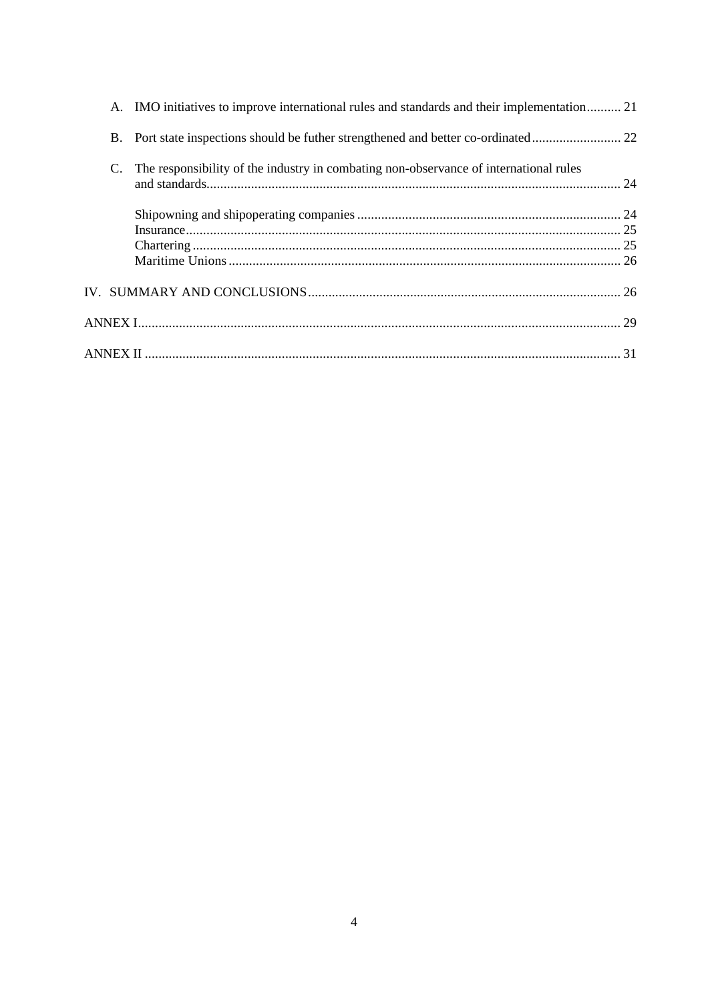| The responsibility of the industry in combating non-observance of international rules<br>C. |  | A. IMO initiatives to improve international rules and standards and their implementation 21 |  |
|---------------------------------------------------------------------------------------------|--|---------------------------------------------------------------------------------------------|--|
|                                                                                             |  |                                                                                             |  |
|                                                                                             |  |                                                                                             |  |
|                                                                                             |  |                                                                                             |  |
|                                                                                             |  |                                                                                             |  |
|                                                                                             |  |                                                                                             |  |
|                                                                                             |  |                                                                                             |  |
|                                                                                             |  |                                                                                             |  |
|                                                                                             |  |                                                                                             |  |
|                                                                                             |  |                                                                                             |  |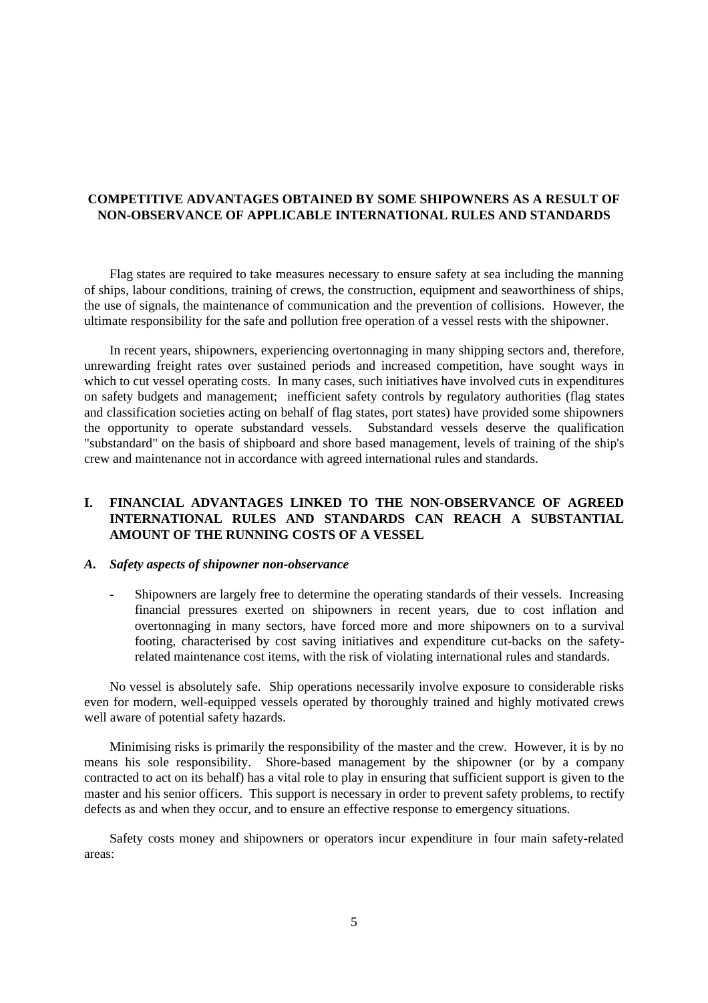### **COMPETITIVE ADVANTAGES OBTAINED BY SOME SHIPOWNERS AS A RESULT OF NON-OBSERVANCE OF APPLICABLE INTERNATIONAL RULES AND STANDARDS**

Flag states are required to take measures necessary to ensure safety at sea including the manning of ships, labour conditions, training of crews, the construction, equipment and seaworthiness of ships, the use of signals, the maintenance of communication and the prevention of collisions. However, the ultimate responsibility for the safe and pollution free operation of a vessel rests with the shipowner.

In recent years, shipowners, experiencing overtonnaging in many shipping sectors and, therefore, unrewarding freight rates over sustained periods and increased competition, have sought ways in which to cut vessel operating costs. In many cases, such initiatives have involved cuts in expenditures on safety budgets and management; inefficient safety controls by regulatory authorities (flag states and classification societies acting on behalf of flag states, port states) have provided some shipowners the opportunity to operate substandard vessels. Substandard vessels deserve the qualification "substandard" on the basis of shipboard and shore based management, levels of training of the ship's crew and maintenance not in accordance with agreed international rules and standards.

# **I. FINANCIAL ADVANTAGES LINKED TO THE NON-OBSERVANCE OF AGREED INTERNATIONAL RULES AND STANDARDS CAN REACH A SUBSTANTIAL AMOUNT OF THE RUNNING COSTS OF A VESSEL**

#### *A. Safety aspects of shipowner non-observance*

- Shipowners are largely free to determine the operating standards of their vessels. Increasing financial pressures exerted on shipowners in recent years, due to cost inflation and overtonnaging in many sectors, have forced more and more shipowners on to a survival footing, characterised by cost saving initiatives and expenditure cut-backs on the safetyrelated maintenance cost items, with the risk of violating international rules and standards*.*

No vessel is absolutely safe. Ship operations necessarily involve exposure to considerable risks even for modern, well-equipped vessels operated by thoroughly trained and highly motivated crews well aware of potential safety hazards.

Minimising risks is primarily the responsibility of the master and the crew. However, it is by no means his sole responsibility. Shore-based management by the shipowner (or by a company contracted to act on its behalf) has a vital role to play in ensuring that sufficient support is given to the master and his senior officers. This support is necessary in order to prevent safety problems, to rectify defects as and when they occur, and to ensure an effective response to emergency situations.

Safety costs money and shipowners or operators incur expenditure in four main safety-related areas: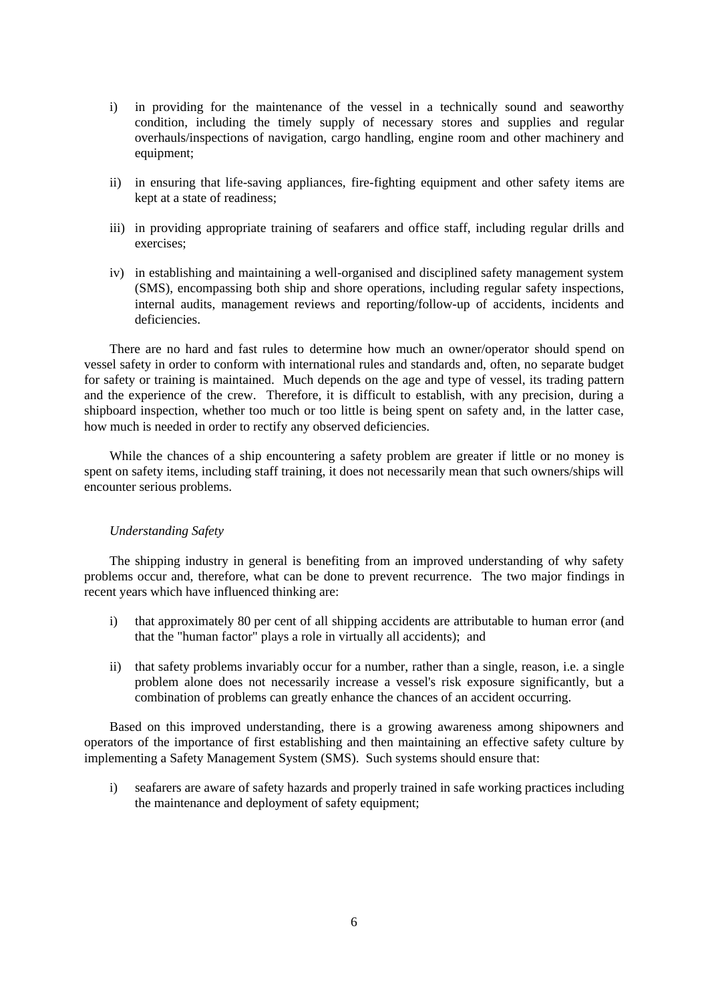- i) in providing for the maintenance of the vessel in a technically sound and seaworthy condition, including the timely supply of necessary stores and supplies and regular overhauls/inspections of navigation, cargo handling, engine room and other machinery and equipment;
- ii) in ensuring that life-saving appliances, fire-fighting equipment and other safety items are kept at a state of readiness;
- iii) in providing appropriate training of seafarers and office staff, including regular drills and exercises;
- iv) in establishing and maintaining a well-organised and disciplined safety management system (SMS), encompassing both ship and shore operations, including regular safety inspections, internal audits, management reviews and reporting/follow-up of accidents, incidents and deficiencies.

There are no hard and fast rules to determine how much an owner/operator should spend on vessel safety in order to conform with international rules and standards and, often, no separate budget for safety or training is maintained. Much depends on the age and type of vessel, its trading pattern and the experience of the crew. Therefore, it is difficult to establish, with any precision, during a shipboard inspection, whether too much or too little is being spent on safety and, in the latter case, how much is needed in order to rectify any observed deficiencies.

While the chances of a ship encountering a safety problem are greater if little or no money is spent on safety items, including staff training, it does not necessarily mean that such owners/ships will encounter serious problems.

#### *Understanding Safety*

The shipping industry in general is benefiting from an improved understanding of why safety problems occur and, therefore, what can be done to prevent recurrence. The two major findings in recent years which have influenced thinking are:

- i) that approximately 80 per cent of all shipping accidents are attributable to human error (and that the "human factor" plays a role in virtually all accidents); and
- ii) that safety problems invariably occur for a number, rather than a single, reason, i.e. a single problem alone does not necessarily increase a vessel's risk exposure significantly, but a combination of problems can greatly enhance the chances of an accident occurring.

Based on this improved understanding, there is a growing awareness among shipowners and operators of the importance of first establishing and then maintaining an effective safety culture by implementing a Safety Management System (SMS). Such systems should ensure that:

i) seafarers are aware of safety hazards and properly trained in safe working practices including the maintenance and deployment of safety equipment;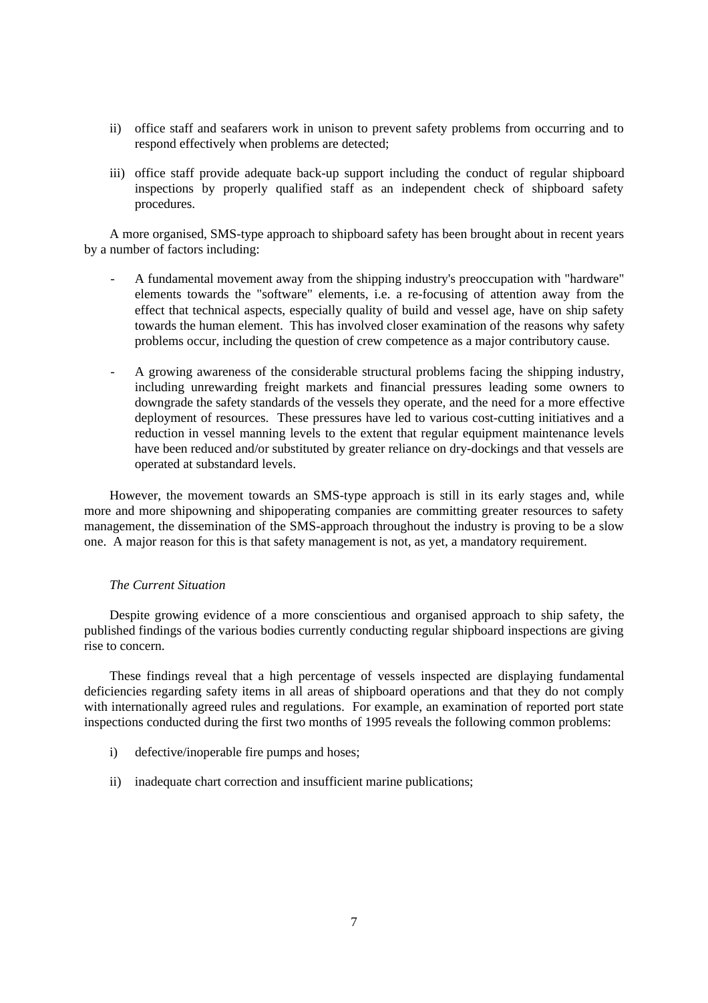- ii) office staff and seafarers work in unison to prevent safety problems from occurring and to respond effectively when problems are detected;
- iii) office staff provide adequate back-up support including the conduct of regular shipboard inspections by properly qualified staff as an independent check of shipboard safety procedures.

A more organised, SMS-type approach to shipboard safety has been brought about in recent years by a number of factors including:

- A fundamental movement away from the shipping industry's preoccupation with "hardware" elements towards the "software" elements, i.e. a re-focusing of attention away from the effect that technical aspects, especially quality of build and vessel age, have on ship safety towards the human element. This has involved closer examination of the reasons why safety problems occur, including the question of crew competence as a major contributory cause.
- A growing awareness of the considerable structural problems facing the shipping industry, including unrewarding freight markets and financial pressures leading some owners to downgrade the safety standards of the vessels they operate, and the need for a more effective deployment of resources. These pressures have led to various cost-cutting initiatives and a reduction in vessel manning levels to the extent that regular equipment maintenance levels have been reduced and/or substituted by greater reliance on dry-dockings and that vessels are operated at substandard levels.

However, the movement towards an SMS-type approach is still in its early stages and, while more and more shipowning and shipoperating companies are committing greater resources to safety management, the dissemination of the SMS-approach throughout the industry is proving to be a slow one. A major reason for this is that safety management is not, as yet, a mandatory requirement.

#### *The Current Situation*

Despite growing evidence of a more conscientious and organised approach to ship safety, the published findings of the various bodies currently conducting regular shipboard inspections are giving rise to concern.

These findings reveal that a high percentage of vessels inspected are displaying fundamental deficiencies regarding safety items in all areas of shipboard operations and that they do not comply with internationally agreed rules and regulations. For example, an examination of reported port state inspections conducted during the first two months of 1995 reveals the following common problems:

- i) defective/inoperable fire pumps and hoses;
- ii) inadequate chart correction and insufficient marine publications;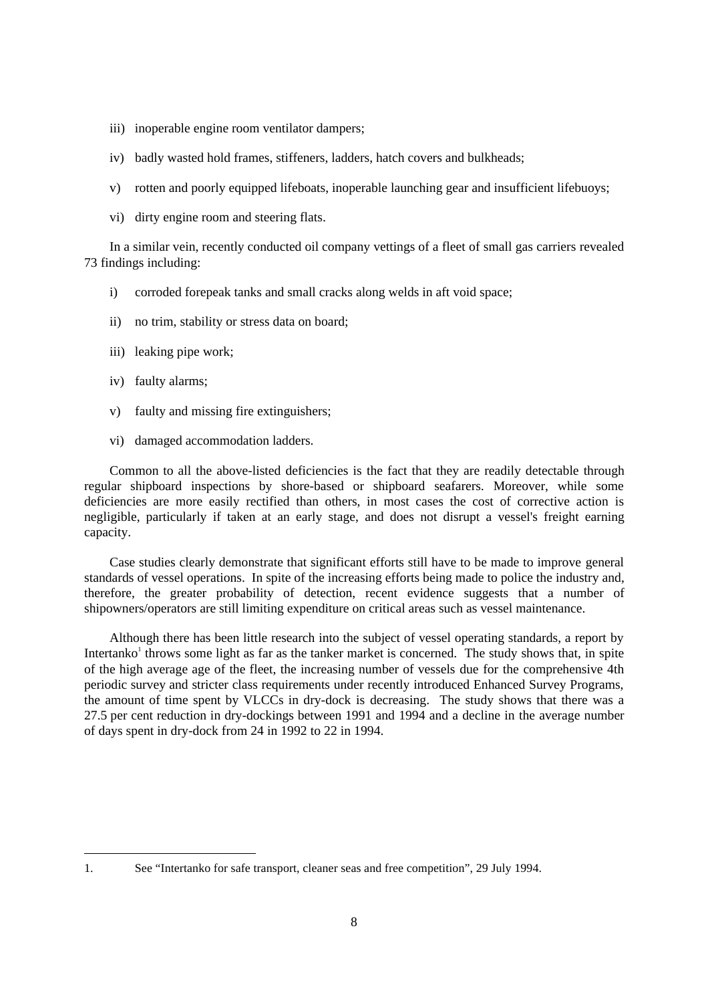- iii) inoperable engine room ventilator dampers;
- iv) badly wasted hold frames, stiffeners, ladders, hatch covers and bulkheads;
- v) rotten and poorly equipped lifeboats, inoperable launching gear and insufficient lifebuoys;
- vi) dirty engine room and steering flats.

In a similar vein, recently conducted oil company vettings of a fleet of small gas carriers revealed 73 findings including:

- i) corroded forepeak tanks and small cracks along welds in aft void space;
- ii) no trim, stability or stress data on board;
- iii) leaking pipe work;
- iv) faulty alarms;

-

- v) faulty and missing fire extinguishers;
- vi) damaged accommodation ladders.

Common to all the above-listed deficiencies is the fact that they are readily detectable through regular shipboard inspections by shore-based or shipboard seafarers. Moreover, while some deficiencies are more easily rectified than others, in most cases the cost of corrective action is negligible, particularly if taken at an early stage, and does not disrupt a vessel's freight earning capacity.

Case studies clearly demonstrate that significant efforts still have to be made to improve general standards of vessel operations. In spite of the increasing efforts being made to police the industry and, therefore, the greater probability of detection, recent evidence suggests that a number of shipowners/operators are still limiting expenditure on critical areas such as vessel maintenance.

Although there has been little research into the subject of vessel operating standards, a report by Intertanko<sup>1</sup> throws some light as far as the tanker market is concerned. The study shows that, in spite of the high average age of the fleet, the increasing number of vessels due for the comprehensive 4th periodic survey and stricter class requirements under recently introduced Enhanced Survey Programs, the amount of time spent by VLCCs in dry-dock is decreasing. The study shows that there was a 27.5 per cent reduction in dry-dockings between 1991 and 1994 and a decline in the average number of days spent in dry-dock from 24 in 1992 to 22 in 1994.

<sup>1.</sup> See "Intertanko for safe transport, cleaner seas and free competition", 29 July 1994.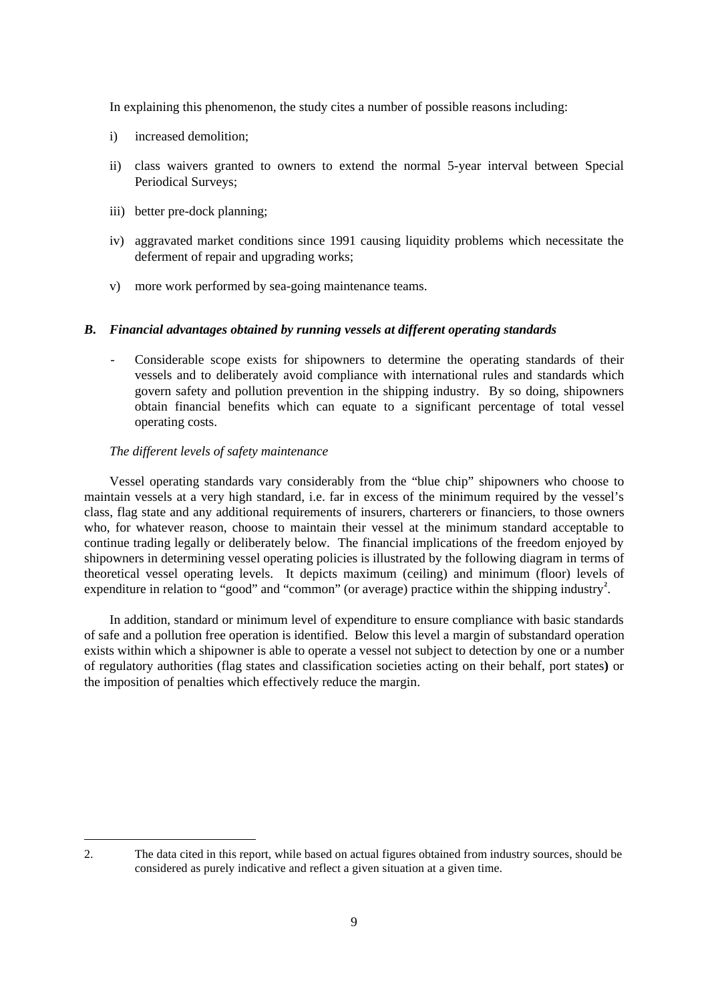In explaining this phenomenon, the study cites a number of possible reasons including:

- i) increased demolition;
- ii) class waivers granted to owners to extend the normal 5-year interval between Special Periodical Surveys;
- iii) better pre-dock planning;
- iv) aggravated market conditions since 1991 causing liquidity problems which necessitate the deferment of repair and upgrading works;
- v) more work performed by sea-going maintenance teams.

### *B. Financial advantages obtained by running vessels at different operating standards*

- Considerable scope exists for shipowners to determine the operating standards of their vessels and to deliberately avoid compliance with international rules and standards which govern safety and pollution prevention in the shipping industry. By so doing, shipowners obtain financial benefits which can equate to a significant percentage of total vessel operating costs.

### *The different levels of safety maintenance*

Vessel operating standards vary considerably from the "blue chip" shipowners who choose to maintain vessels at a very high standard, i.e. far in excess of the minimum required by the vessel's class, flag state and any additional requirements of insurers, charterers or financiers, to those owners who, for whatever reason, choose to maintain their vessel at the minimum standard acceptable to continue trading legally or deliberately below. The financial implications of the freedom enjoyed by shipowners in determining vessel operating policies is illustrated by the following diagram in terms of theoretical vessel operating levels. It depicts maximum (ceiling) and minimum (floor) levels of expenditure in relation to "good" and "common" (or average) practice within the shipping industry<sup>2</sup>.

In addition, standard or minimum level of expenditure to ensure compliance with basic standards of safe and a pollution free operation is identified. Below this level a margin of substandard operation exists within which a shipowner is able to operate a vessel not subject to detection by one or a number of regulatory authorities (flag states and classification societies acting on their behalf, port states**)** or the imposition of penalties which effectively reduce the margin.

 $\overline{a}$ 

<sup>2.</sup> The data cited in this report, while based on actual figures obtained from industry sources, should be considered as purely indicative and reflect a given situation at a given time.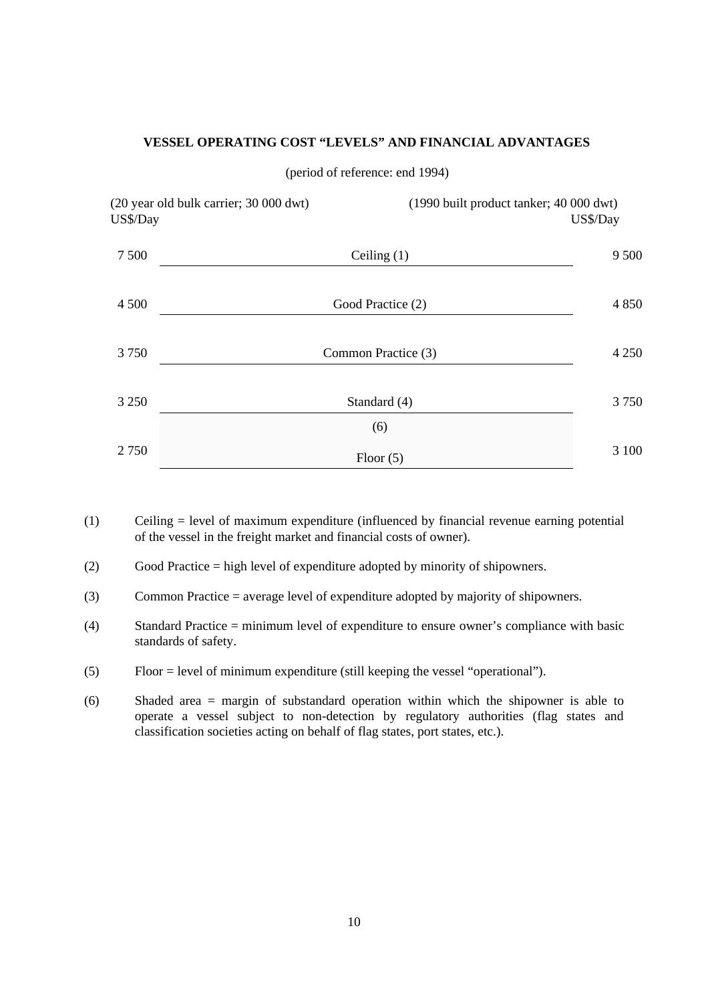# **VESSEL OPERATING COST "LEVELS" AND FINANCIAL ADVANTAGES**

| US\$/Day | (20 year old bulk carrier; 30 000 dwt) | (1990 built product tanker; 40 000 dwt) | US\$/Day |
|----------|----------------------------------------|-----------------------------------------|----------|
| 7 500    |                                        | Ceiling $(1)$                           | 9 500    |
| 4 5 0 0  |                                        | Good Practice (2)                       | 4 8 5 0  |
| 3750     |                                        | Common Practice (3)                     | 4 2 5 0  |
| 3 2 5 0  |                                        | Standard (4)                            | 3750     |
|          |                                        | (6)                                     |          |
| 2750     |                                        | Floor $(5)$                             | 3 100    |

(period of reference: end 1994)

- (1) Ceiling = level of maximum expenditure (influenced by financial revenue earning potential of the vessel in the freight market and financial costs of owner).
- (2) Good Practice = high level of expenditure adopted by minority of shipowners.
- (3) Common Practice = average level of expenditure adopted by majority of shipowners.
- (4) Standard Practice = minimum level of expenditure to ensure owner's compliance with basic standards of safety.
- (5) Floor = level of minimum expenditure (still keeping the vessel "operational").
- (6) Shaded area = margin of substandard operation within which the shipowner is able to operate a vessel subject to non-detection by regulatory authorities (flag states and classification societies acting on behalf of flag states, port states, etc.).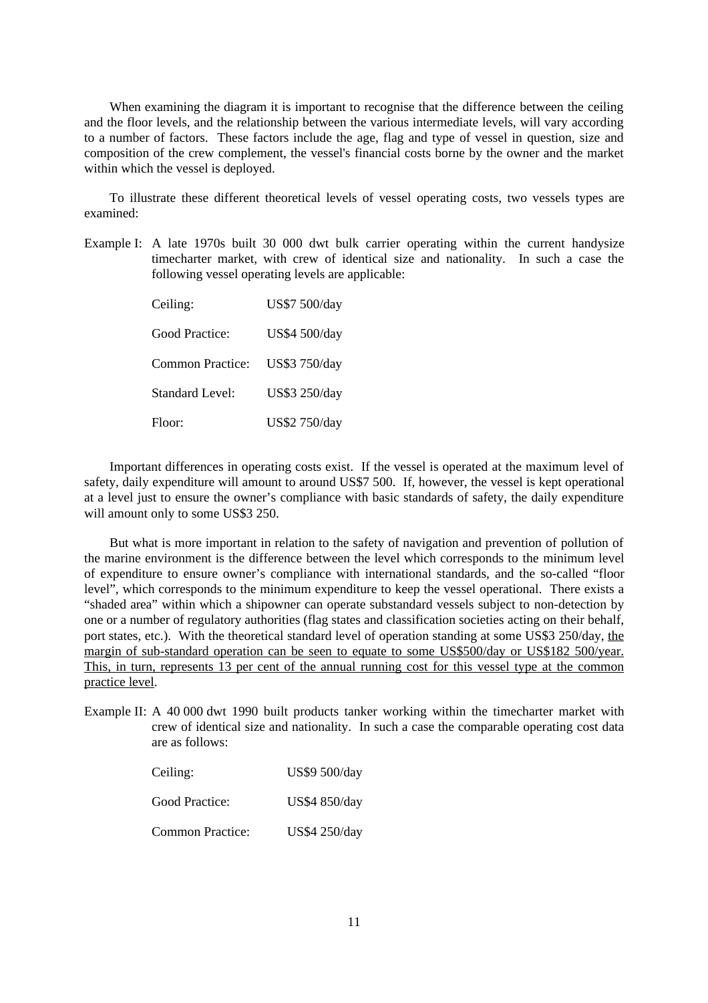When examining the diagram it is important to recognise that the difference between the ceiling and the floor levels, and the relationship between the various intermediate levels, will vary according to a number of factors. These factors include the age, flag and type of vessel in question, size and composition of the crew complement, the vessel's financial costs borne by the owner and the market within which the vessel is deployed.

To illustrate these different theoretical levels of vessel operating costs, two vessels types are examined:

Example I: A late 1970s built 30 000 dwt bulk carrier operating within the current handysize timecharter market, with crew of identical size and nationality. In such a case the following vessel operating levels are applicable:

| Ceiling:               | US\$7 500/day |
|------------------------|---------------|
| Good Practice:         | US\$4 500/day |
| Common Practice:       | US\$3 750/day |
| <b>Standard Level:</b> | US\$3 250/day |
| Floor:                 | US\$2 750/day |

Important differences in operating costs exist. If the vessel is operated at the maximum level of safety, daily expenditure will amount to around US\$7 500. If, however, the vessel is kept operational at a level just to ensure the owner's compliance with basic standards of safety, the daily expenditure will amount only to some US\$3 250.

But what is more important in relation to the safety of navigation and prevention of pollution of the marine environment is the difference between the level which corresponds to the minimum level of expenditure to ensure owner's compliance with international standards, and the so-called "floor level", which corresponds to the minimum expenditure to keep the vessel operational. There exists a "shaded area" within which a shipowner can operate substandard vessels subject to non-detection by one or a number of regulatory authorities (flag states and classification societies acting on their behalf, port states, etc.). With the theoretical standard level of operation standing at some US\$3 250/day, the margin of sub-standard operation can be seen to equate to some US\$500/day or US\$182 500/year. This, in turn, represents 13 per cent of the annual running cost for this vessel type at the common practice level.

Example II: A 40 000 dwt 1990 built products tanker working within the timecharter market with crew of identical size and nationality. In such a case the comparable operating cost data are as follows:

| Ceiling:                | US\$9 500/day |
|-------------------------|---------------|
| Good Practice:          | US\$4 850/day |
| <b>Common Practice:</b> | US\$4 250/day |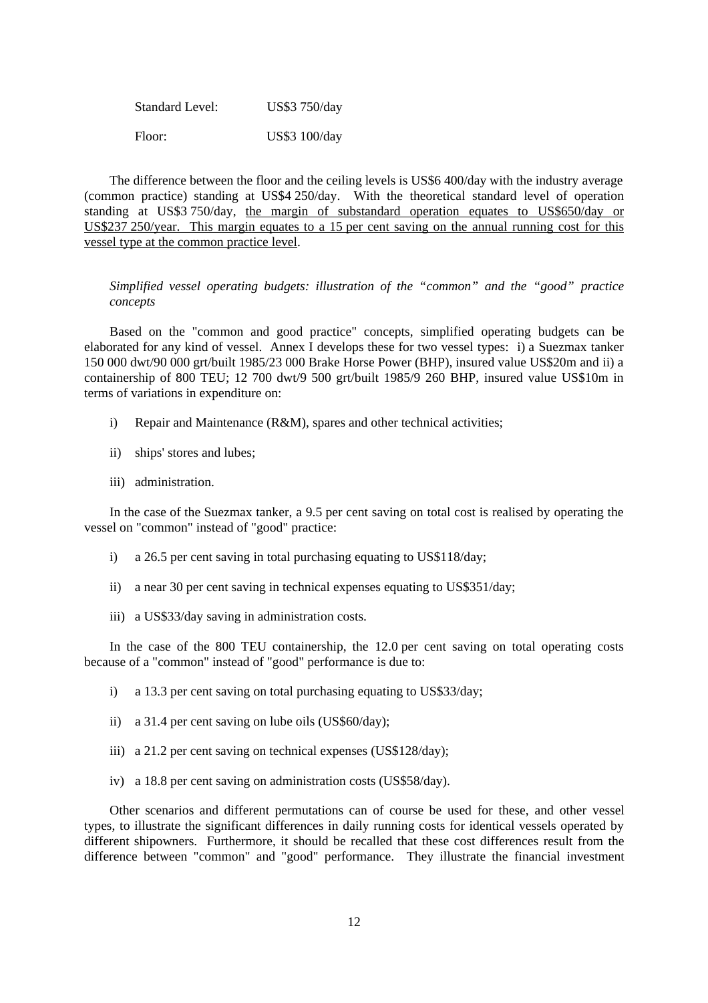| <b>Standard Level:</b> | US\$3 750/day |
|------------------------|---------------|
| Floor:                 | US\$3 100/day |

The difference between the floor and the ceiling levels is US\$6 400/day with the industry average (common practice) standing at US\$4 250/day. With the theoretical standard level of operation standing at US\$3 750/day, the margin of substandard operation equates to US\$650/day or US\$237 250/year. This margin equates to a 15 per cent saving on the annual running cost for this vessel type at the common practice level.

*Simplified vessel operating budgets: illustration of the "common" and the "good" practice concepts*

Based on the "common and good practice" concepts, simplified operating budgets can be elaborated for any kind of vessel. Annex I develops these for two vessel types: i) a Suezmax tanker 150 000 dwt/90 000 grt/built 1985/23 000 Brake Horse Power (BHP), insured value US\$20m and ii) a containership of 800 TEU; 12 700 dwt/9 500 grt/built 1985/9 260 BHP, insured value US\$10m in terms of variations in expenditure on:

- i) Repair and Maintenance (R&M), spares and other technical activities;
- ii) ships' stores and lubes;
- iii) administration.

In the case of the Suezmax tanker, a 9.5 per cent saving on total cost is realised by operating the vessel on "common" instead of "good" practice:

- i) a 26.5 per cent saving in total purchasing equating to US\$118/day;
- ii) a near 30 per cent saving in technical expenses equating to US\$351/day;
- iii) a US\$33/day saving in administration costs.

In the case of the 800 TEU containership, the 12.0 per cent saving on total operating costs because of a "common" instead of "good" performance is due to:

- i) a 13.3 per cent saving on total purchasing equating to US\$33/day;
- ii) a 31.4 per cent saving on lube oils (US\$60/day);
- iii) a 21.2 per cent saving on technical expenses (US\$128/day);
- iv) a 18.8 per cent saving on administration costs (US\$58/day).

Other scenarios and different permutations can of course be used for these, and other vessel types, to illustrate the significant differences in daily running costs for identical vessels operated by different shipowners. Furthermore, it should be recalled that these cost differences result from the difference between "common" and "good" performance. They illustrate the financial investment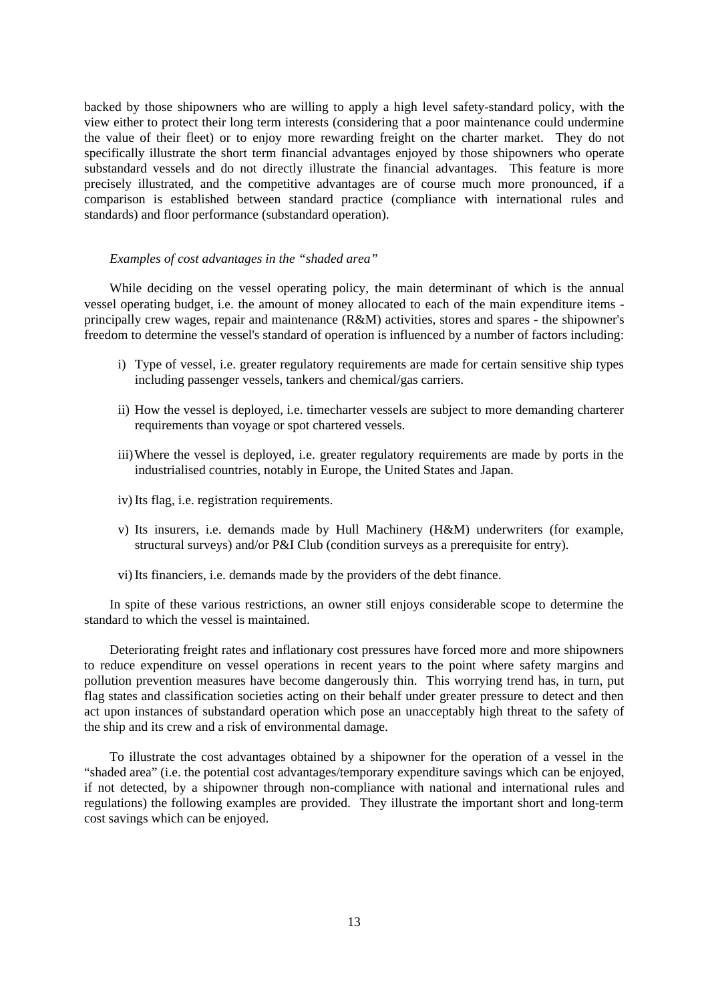backed by those shipowners who are willing to apply a high level safety-standard policy, with the view either to protect their long term interests (considering that a poor maintenance could undermine the value of their fleet) or to enjoy more rewarding freight on the charter market. They do not specifically illustrate the short term financial advantages enjoyed by those shipowners who operate substandard vessels and do not directly illustrate the financial advantages. This feature is more precisely illustrated, and the competitive advantages are of course much more pronounced, if a comparison is established between standard practice (compliance with international rules and standards) and floor performance (substandard operation).

### *Examples of cost advantages in the "shaded area"*

While deciding on the vessel operating policy, the main determinant of which is the annual vessel operating budget, i.e. the amount of money allocated to each of the main expenditure items principally crew wages, repair and maintenance (R&M) activities, stores and spares - the shipowner's freedom to determine the vessel's standard of operation is influenced by a number of factors including:

- i) Type of vessel, i.e. greater regulatory requirements are made for certain sensitive ship types including passenger vessels, tankers and chemical/gas carriers.
- ii) How the vessel is deployed, i.e. timecharter vessels are subject to more demanding charterer requirements than voyage or spot chartered vessels.
- iii) Where the vessel is deployed, i.e. greater regulatory requirements are made by ports in the industrialised countries, notably in Europe, the United States and Japan.
- iv) Its flag, i.e. registration requirements.
- v) Its insurers, i.e. demands made by Hull Machinery (H&M) underwriters (for example, structural surveys) and/or P&I Club (condition surveys as a prerequisite for entry).
- vi) Its financiers, i.e. demands made by the providers of the debt finance.

In spite of these various restrictions, an owner still enjoys considerable scope to determine the standard to which the vessel is maintained.

Deteriorating freight rates and inflationary cost pressures have forced more and more shipowners to reduce expenditure on vessel operations in recent years to the point where safety margins and pollution prevention measures have become dangerously thin. This worrying trend has, in turn, put flag states and classification societies acting on their behalf under greater pressure to detect and then act upon instances of substandard operation which pose an unacceptably high threat to the safety of the ship and its crew and a risk of environmental damage.

To illustrate the cost advantages obtained by a shipowner for the operation of a vessel in the "shaded area" (i.e. the potential cost advantages/temporary expenditure savings which can be enjoyed, if not detected, by a shipowner through non-compliance with national and international rules and regulations) the following examples are provided. They illustrate the important short and long-term cost savings which can be enjoyed.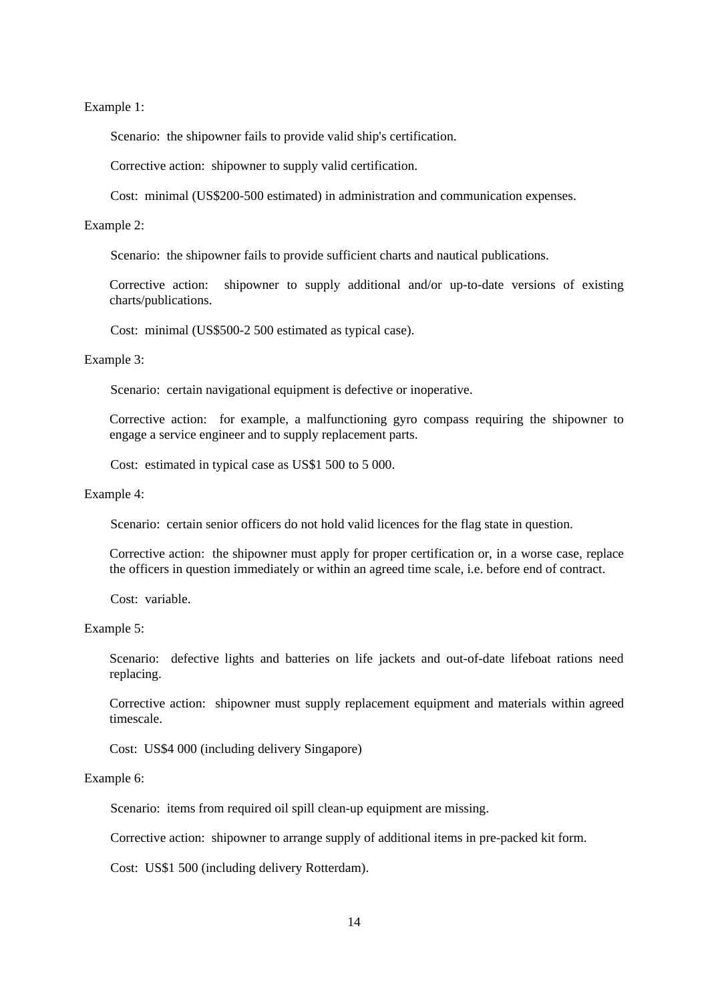Example 1:

Scenario: the shipowner fails to provide valid ship's certification.

Corrective action: shipowner to supply valid certification.

Cost: minimal (US\$200-500 estimated) in administration and communication expenses.

#### Example 2:

Scenario: the shipowner fails to provide sufficient charts and nautical publications.

Corrective action: shipowner to supply additional and/or up-to-date versions of existing charts/publications.

Cost: minimal (US\$500-2 500 estimated as typical case).

Example 3:

Scenario: certain navigational equipment is defective or inoperative.

Corrective action: for example, a malfunctioning gyro compass requiring the shipowner to engage a service engineer and to supply replacement parts.

Cost: estimated in typical case as US\$1 500 to 5 000.

Example 4:

Scenario: certain senior officers do not hold valid licences for the flag state in question.

Corrective action: the shipowner must apply for proper certification or, in a worse case, replace the officers in question immediately or within an agreed time scale, i.e. before end of contract.

Cost: variable.

Example 5:

Scenario: defective lights and batteries on life jackets and out-of-date lifeboat rations need replacing.

Corrective action: shipowner must supply replacement equipment and materials within agreed timescale.

Cost: US\$4 000 (including delivery Singapore)

#### Example 6:

Scenario: items from required oil spill clean-up equipment are missing.

Corrective action: shipowner to arrange supply of additional items in pre-packed kit form.

Cost: US\$1 500 (including delivery Rotterdam).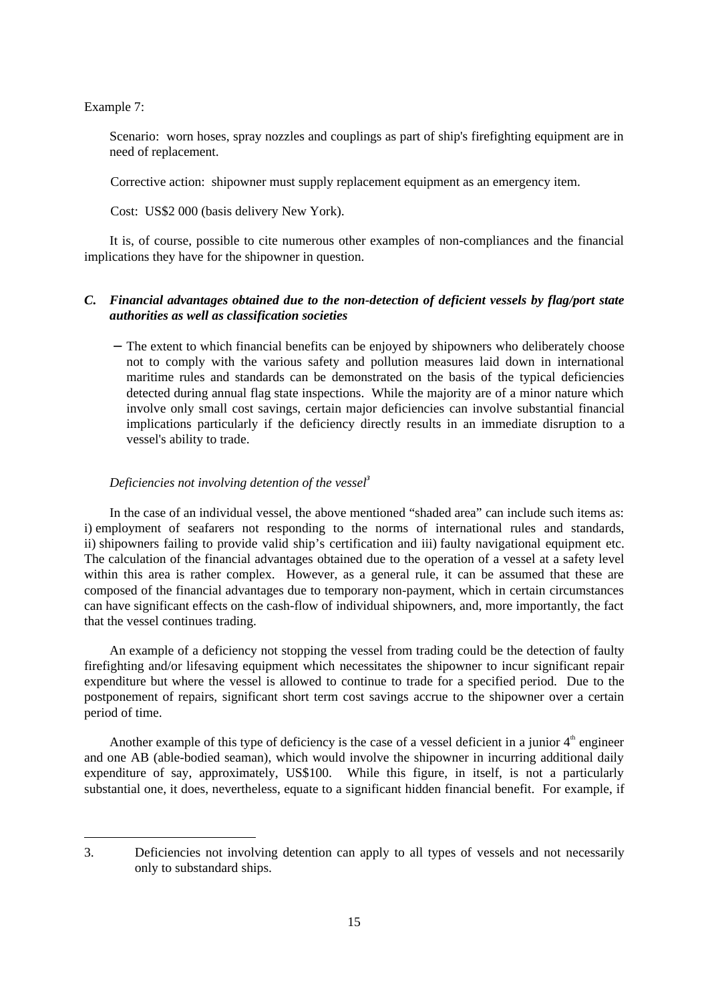Example 7:

-

Scenario: worn hoses, spray nozzles and couplings as part of ship's firefighting equipment are in need of replacement.

Corrective action: shipowner must supply replacement equipment as an emergency item.

Cost: US\$2 000 (basis delivery New York).

It is, of course, possible to cite numerous other examples of non-compliances and the financial implications they have for the shipowner in question.

# *C. Financial advantages obtained due to the non-detection of deficient vessels by flag/port state authorities as well as classification societies*

 − The extent to which financial benefits can be enjoyed by shipowners who deliberately choose not to comply with the various safety and pollution measures laid down in international maritime rules and standards can be demonstrated on the basis of the typical deficiencies detected during annual flag state inspections. While the majority are of a minor nature which involve only small cost savings, certain major deficiencies can involve substantial financial implications particularly if the deficiency directly results in an immediate disruption to a vessel's ability to trade.

### *Deficiencies not involving detention of the vessel<sup>3</sup>*

In the case of an individual vessel, the above mentioned "shaded area" can include such items as: i) employment of seafarers not responding to the norms of international rules and standards, ii) shipowners failing to provide valid ship's certification and iii) faulty navigational equipment etc. The calculation of the financial advantages obtained due to the operation of a vessel at a safety level within this area is rather complex. However, as a general rule, it can be assumed that these are composed of the financial advantages due to temporary non-payment, which in certain circumstances can have significant effects on the cash-flow of individual shipowners, and, more importantly, the fact that the vessel continues trading.

An example of a deficiency not stopping the vessel from trading could be the detection of faulty firefighting and/or lifesaving equipment which necessitates the shipowner to incur significant repair expenditure but where the vessel is allowed to continue to trade for a specified period. Due to the postponement of repairs, significant short term cost savings accrue to the shipowner over a certain period of time.

Another example of this type of deficiency is the case of a vessel deficient in a junior  $4<sup>th</sup>$  engineer and one AB (able-bodied seaman), which would involve the shipowner in incurring additional daily expenditure of say, approximately, US\$100*.* While this figure, in itself, is not a particularly substantial one, it does, nevertheless, equate to a significant hidden financial benefit. For example, if

<sup>3.</sup> Deficiencies not involving detention can apply to all types of vessels and not necessarily only to substandard ships.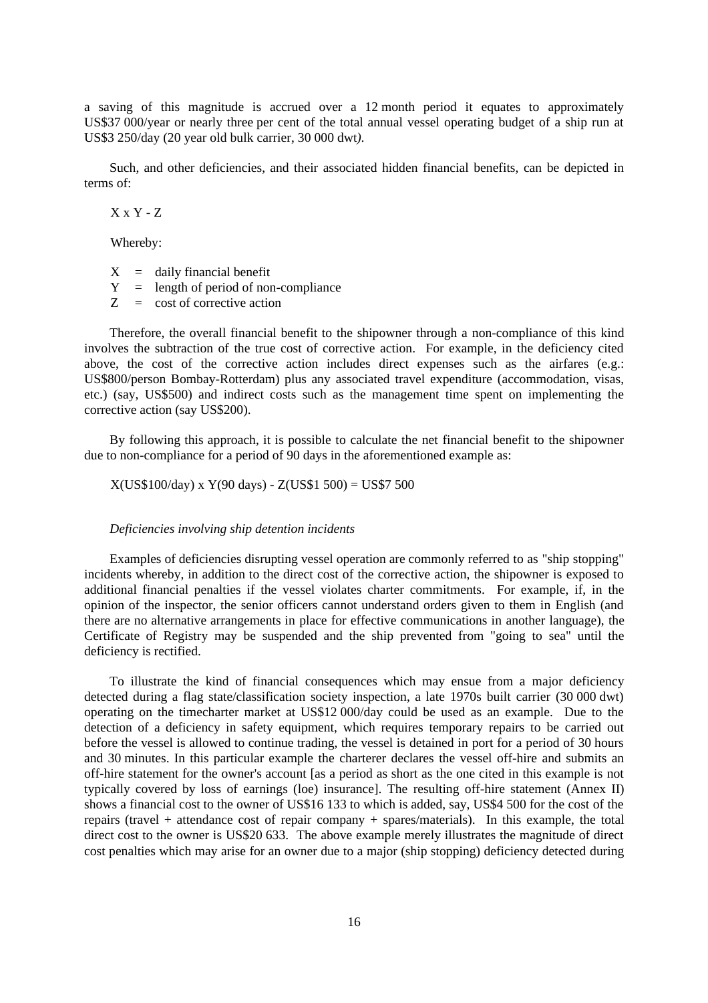a saving of this magnitude is accrued over a 12 month period it equates to approximately US\$37 000/year or nearly three per cent of the total annual vessel operating budget of a ship run at US\$3 250/day (20 year old bulk carrier, 30 000 dwt*).*

Such, and other deficiencies, and their associated hidden financial benefits, can be depicted in terms of:

 $X \times Y - Z$ 

Whereby:

 $X = \text{daily financial benefit}$ 

 $Y =$  length of period of non-compliance

 $Z = \text{cost of}$  corrective action

Therefore, the overall financial benefit to the shipowner through a non-compliance of this kind involves the subtraction of the true cost of corrective action. For example, in the deficiency cited above, the cost of the corrective action includes direct expenses such as the airfares (e.g.: US\$800/person Bombay-Rotterdam) plus any associated travel expenditure (accommodation, visas, etc.) (say, US\$500) and indirect costs such as the management time spent on implementing the corrective action (say US\$200).

By following this approach, it is possible to calculate the net financial benefit to the shipowner due to non-compliance for a period of 90 days in the aforementioned example as:

X(US\$100/day) x Y(90 days) - Z(US\$1 500) = US\$7 500

*Deficiencies involving ship detention incidents*

Examples of deficiencies disrupting vessel operation are commonly referred to as "ship stopping" incidents whereby, in addition to the direct cost of the corrective action, the shipowner is exposed to additional financial penalties if the vessel violates charter commitments. For example, if, in the opinion of the inspector, the senior officers cannot understand orders given to them in English (and there are no alternative arrangements in place for effective communications in another language), the Certificate of Registry may be suspended and the ship prevented from "going to sea" until the deficiency is rectified.

To illustrate the kind of financial consequences which may ensue from a major deficiency detected during a flag state/classification society inspection, a late 1970s built carrier (30 000 dwt) operating on the timecharter market at US\$12 000/day could be used as an example. Due to the detection of a deficiency in safety equipment, which requires temporary repairs to be carried out before the vessel is allowed to continue trading, the vessel is detained in port for a period of 30 hours and 30 minutes. In this particular example the charterer declares the vessel off-hire and submits an off-hire statement for the owner's account [as a period as short as the one cited in this example is not typically covered by loss of earnings (loe) insurance]. The resulting off-hire statement (Annex II) shows a financial cost to the owner of US\$16 133 to which is added, say, US\$4 500 for the cost of the repairs (travel + attendance cost of repair company + spares/materials). In this example, the total direct cost to the owner is US\$20 633. The above example merely illustrates the magnitude of direct cost penalties which may arise for an owner due to a major (ship stopping) deficiency detected during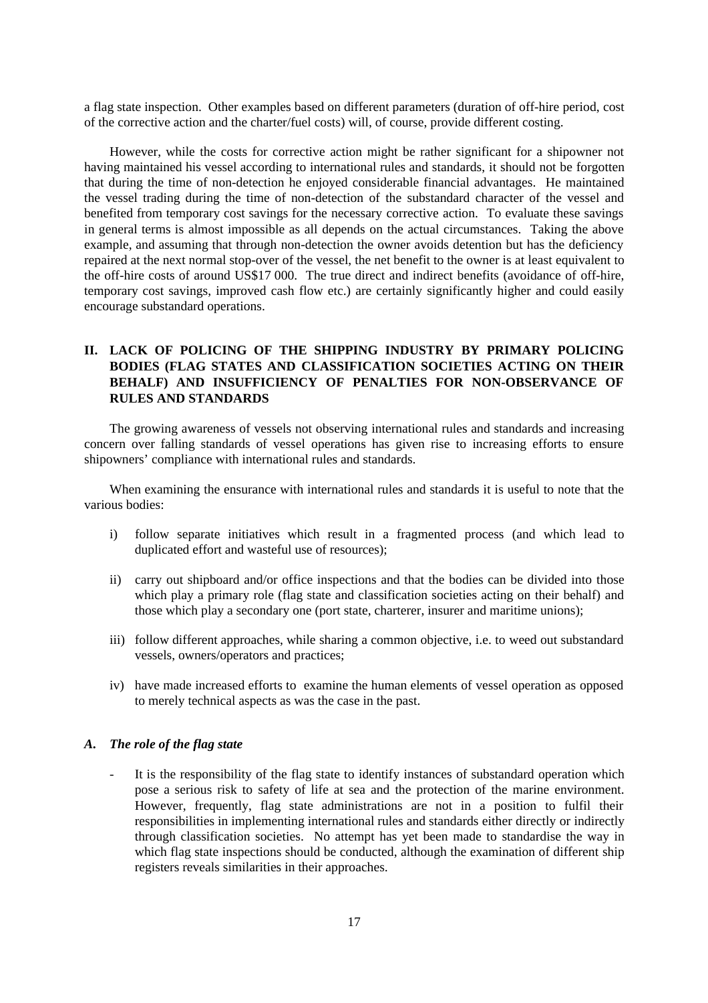a flag state inspection. Other examples based on different parameters (duration of off-hire period, cost of the corrective action and the charter/fuel costs) will, of course, provide different costing.

However, while the costs for corrective action might be rather significant for a shipowner not having maintained his vessel according to international rules and standards, it should not be forgotten that during the time of non-detection he enjoyed considerable financial advantages. He maintained the vessel trading during the time of non-detection of the substandard character of the vessel and benefited from temporary cost savings for the necessary corrective action. To evaluate these savings in general terms is almost impossible as all depends on the actual circumstances. Taking the above example, and assuming that through non-detection the owner avoids detention but has the deficiency repaired at the next normal stop-over of the vessel, the net benefit to the owner is at least equivalent to the off-hire costs of around US\$17 000. The true direct and indirect benefits (avoidance of off-hire, temporary cost savings, improved cash flow etc.) are certainly significantly higher and could easily encourage substandard operations.

# **II. LACK OF POLICING OF THE SHIPPING INDUSTRY BY PRIMARY POLICING BODIES (FLAG STATES AND CLASSIFICATION SOCIETIES ACTING ON THEIR BEHALF) AND INSUFFICIENCY OF PENALTIES FOR NON-OBSERVANCE OF RULES AND STANDARDS**

The growing awareness of vessels not observing international rules and standards and increasing concern over falling standards of vessel operations has given rise to increasing efforts to ensure shipowners' compliance with international rules and standards.

When examining the ensurance with international rules and standards it is useful to note that the various bodies:

- i) follow separate initiatives which result in a fragmented process (and which lead to duplicated effort and wasteful use of resources);
- ii) carry out shipboard and/or office inspections and that the bodies can be divided into those which play a primary role (flag state and classification societies acting on their behalf) and those which play a secondary one (port state, charterer, insurer and maritime unions);
- iii) follow different approaches, while sharing a common objective, i.e. to weed out substandard vessels, owners/operators and practices;
- iv) have made increased efforts to examine the human elements of vessel operation as opposed to merely technical aspects as was the case in the past.

#### *A. The role of the flag state*

It is the responsibility of the flag state to identify instances of substandard operation which pose a serious risk to safety of life at sea and the protection of the marine environment. However, frequently, flag state administrations are not in a position to fulfil their responsibilities in implementing international rules and standards either directly or indirectly through classification societies. No attempt has yet been made to standardise the way in which flag state inspections should be conducted, although the examination of different ship registers reveals similarities in their approaches.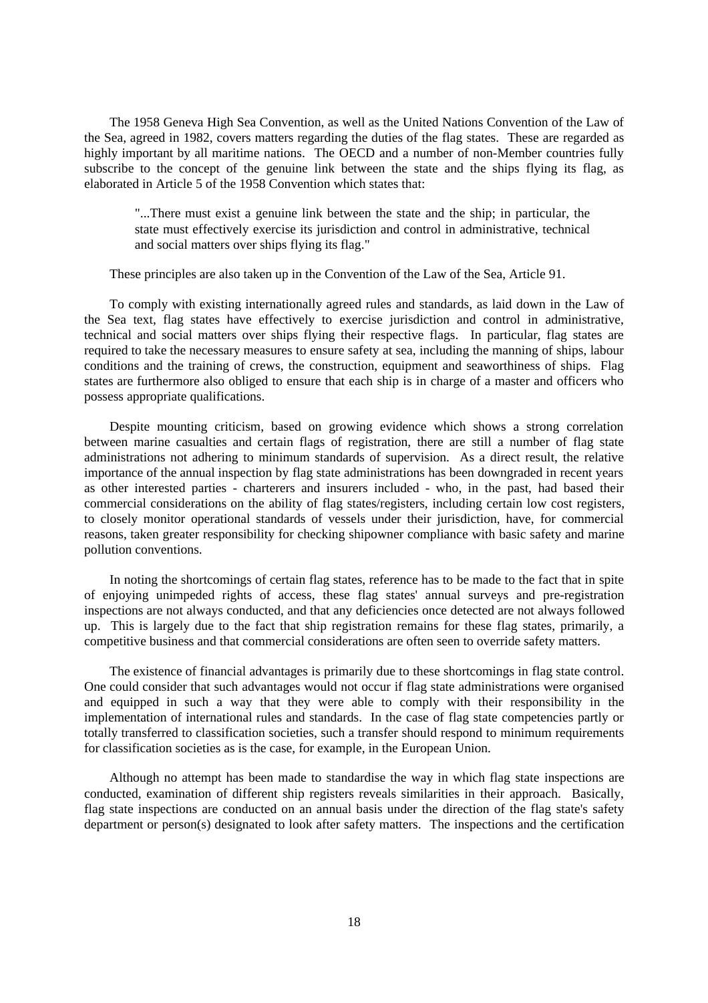The 1958 Geneva High Sea Convention, as well as the United Nations Convention of the Law of the Sea, agreed in 1982, covers matters regarding the duties of the flag states. These are regarded as highly important by all maritime nations. The OECD and a number of non-Member countries fully subscribe to the concept of the genuine link between the state and the ships flying its flag, as elaborated in Article 5 of the 1958 Convention which states that:

"...There must exist a genuine link between the state and the ship; in particular, the state must effectively exercise its jurisdiction and control in administrative, technical and social matters over ships flying its flag."

These principles are also taken up in the Convention of the Law of the Sea, Article 91.

To comply with existing internationally agreed rules and standards, as laid down in the Law of the Sea text, flag states have effectively to exercise jurisdiction and control in administrative, technical and social matters over ships flying their respective flags. In particular, flag states are required to take the necessary measures to ensure safety at sea, including the manning of ships, labour conditions and the training of crews, the construction, equipment and seaworthiness of ships. Flag states are furthermore also obliged to ensure that each ship is in charge of a master and officers who possess appropriate qualifications.

Despite mounting criticism, based on growing evidence which shows a strong correlation between marine casualties and certain flags of registration, there are still a number of flag state administrations not adhering to minimum standards of supervision. As a direct result, the relative importance of the annual inspection by flag state administrations has been downgraded in recent years as other interested parties - charterers and insurers included - who, in the past, had based their commercial considerations on the ability of flag states/registers, including certain low cost registers, to closely monitor operational standards of vessels under their jurisdiction, have, for commercial reasons, taken greater responsibility for checking shipowner compliance with basic safety and marine pollution conventions.

In noting the shortcomings of certain flag states, reference has to be made to the fact that in spite of enjoying unimpeded rights of access, these flag states' annual surveys and pre-registration inspections are not always conducted, and that any deficiencies once detected are not always followed up. This is largely due to the fact that ship registration remains for these flag states, primarily, a competitive business and that commercial considerations are often seen to override safety matters.

The existence of financial advantages is primarily due to these shortcomings in flag state control. One could consider that such advantages would not occur if flag state administrations were organised and equipped in such a way that they were able to comply with their responsibility in the implementation of international rules and standards. In the case of flag state competencies partly or totally transferred to classification societies, such a transfer should respond to minimum requirements for classification societies as is the case, for example, in the European Union.

Although no attempt has been made to standardise the way in which flag state inspections are conducted, examination of different ship registers reveals similarities in their approach. Basically, flag state inspections are conducted on an annual basis under the direction of the flag state's safety department or person(s) designated to look after safety matters. The inspections and the certification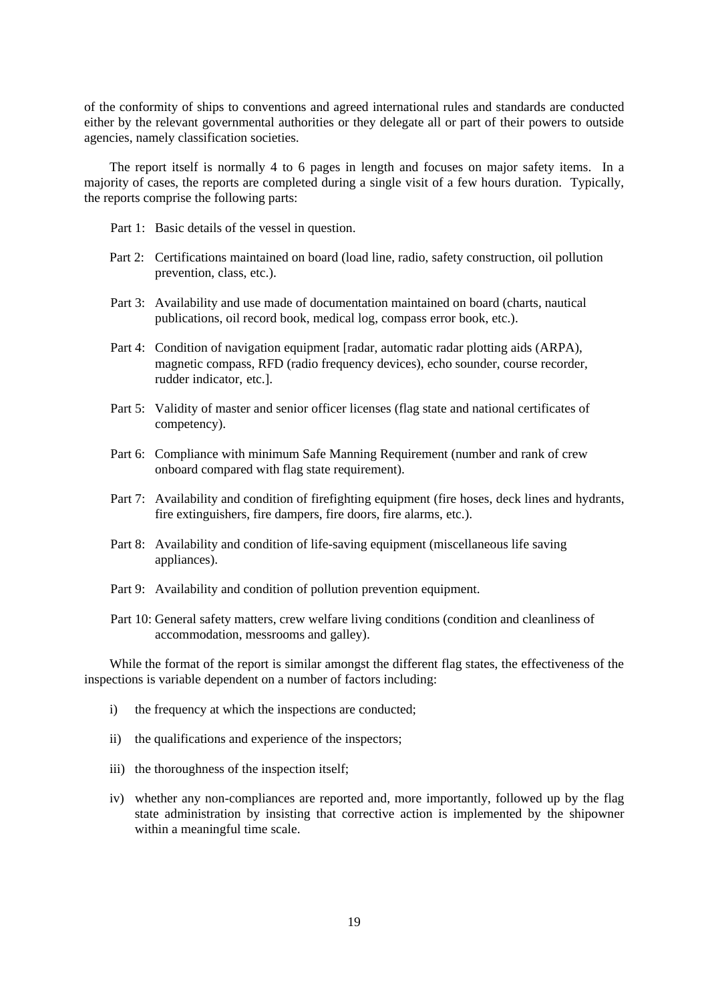of the conformity of ships to conventions and agreed international rules and standards are conducted either by the relevant governmental authorities or they delegate all or part of their powers to outside agencies, namely classification societies.

The report itself is normally 4 to 6 pages in length and focuses on major safety items. In a majority of cases, the reports are completed during a single visit of a few hours duration. Typically, the reports comprise the following parts:

- Part 1: Basic details of the vessel in question.
- Part 2: Certifications maintained on board (load line, radio, safety construction, oil pollution prevention, class, etc.).
- Part 3: Availability and use made of documentation maintained on board (charts, nautical publications, oil record book, medical log, compass error book, etc.).
- Part 4: Condition of navigation equipment [radar, automatic radar plotting aids (ARPA), magnetic compass, RFD (radio frequency devices), echo sounder, course recorder, rudder indicator, etc.].
- Part 5: Validity of master and senior officer licenses (flag state and national certificates of competency).
- Part 6: Compliance with minimum Safe Manning Requirement (number and rank of crew onboard compared with flag state requirement).
- Part 7: Availability and condition of firefighting equipment (fire hoses, deck lines and hydrants, fire extinguishers, fire dampers, fire doors, fire alarms, etc.).
- Part 8: Availability and condition of life-saving equipment (miscellaneous life saving appliances).
- Part 9: Availability and condition of pollution prevention equipment.
- Part 10: General safety matters, crew welfare living conditions (condition and cleanliness of accommodation, messrooms and galley).

While the format of the report is similar amongst the different flag states, the effectiveness of the inspections is variable dependent on a number of factors including:

- i) the frequency at which the inspections are conducted;
- ii) the qualifications and experience of the inspectors;
- iii) the thoroughness of the inspection itself;
- iv) whether any non-compliances are reported and, more importantly, followed up by the flag state administration by insisting that corrective action is implemented by the shipowner within a meaningful time scale.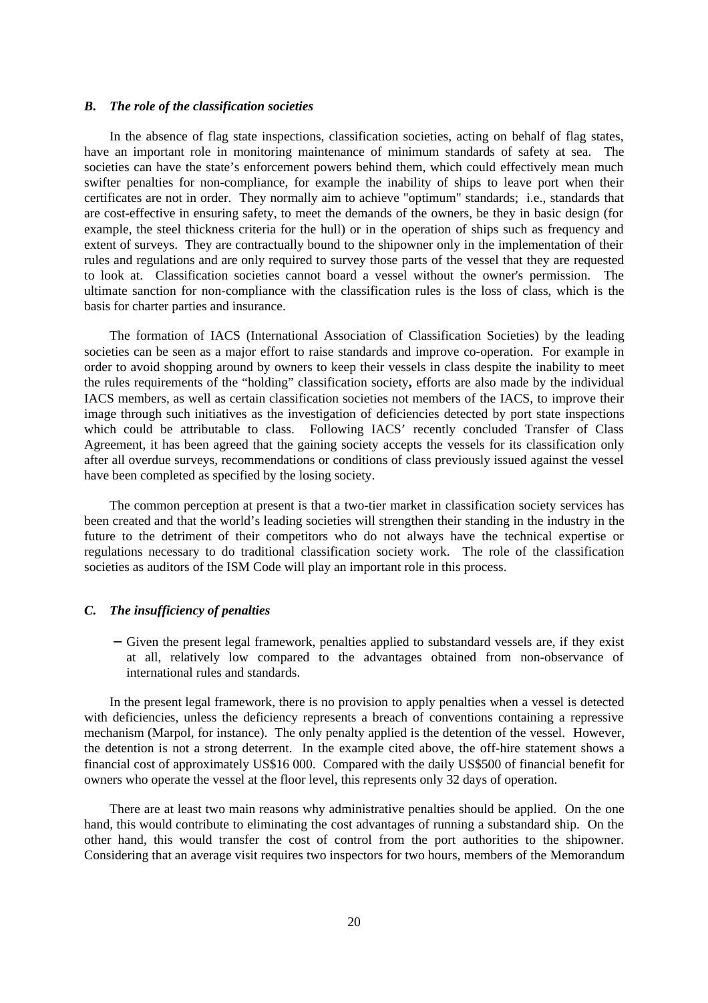#### *B. The role of the classification societies*

In the absence of flag state inspections, classification societies, acting on behalf of flag states, have an important role in monitoring maintenance of minimum standards of safety at sea. The societies can have the state's enforcement powers behind them, which could effectively mean much swifter penalties for non-compliance, for example the inability of ships to leave port when their certificates are not in order. They normally aim to achieve "optimum" standards; i.e., standards that are cost-effective in ensuring safety, to meet the demands of the owners, be they in basic design (for example, the steel thickness criteria for the hull) or in the operation of ships such as frequency and extent of surveys. They are contractually bound to the shipowner only in the implementation of their rules and regulations and are only required to survey those parts of the vessel that they are requested to look at. Classification societies cannot board a vessel without the owner's permission. The ultimate sanction for non-compliance with the classification rules is the loss of class, which is the basis for charter parties and insurance.

The formation of IACS (International Association of Classification Societies) by the leading societies can be seen as a major effort to raise standards and improve co-operation. For example in order to avoid shopping around by owners to keep their vessels in class despite the inability to meet the rules requirements of the "holding" classification society**,** efforts are also made by the individual IACS members, as well as certain classification societies not members of the IACS, to improve their image through such initiatives as the investigation of deficiencies detected by port state inspections which could be attributable to class. Following IACS' recently concluded Transfer of Class Agreement, it has been agreed that the gaining society accepts the vessels for its classification only after all overdue surveys, recommendations or conditions of class previously issued against the vessel have been completed as specified by the losing society.

The common perception at present is that a two-tier market in classification society services has been created and that the world's leading societies will strengthen their standing in the industry in the future to the detriment of their competitors who do not always have the technical expertise or regulations necessary to do traditional classification society work. The role of the classification societies as auditors of the ISM Code will play an important role in this process.

#### *C. The insufficiency of penalties*

 − Given the present legal framework, penalties applied to substandard vessels are, if they exist at all, relatively low compared to the advantages obtained from non-observance of international rules and standards.

In the present legal framework, there is no provision to apply penalties when a vessel is detected with deficiencies, unless the deficiency represents a breach of conventions containing a repressive mechanism (Marpol, for instance). The only penalty applied is the detention of the vessel. However, the detention is not a strong deterrent. In the example cited above, the off-hire statement shows a financial cost of approximately US\$16 000. Compared with the daily US\$500 of financial benefit for owners who operate the vessel at the floor level, this represents only 32 days of operation.

There are at least two main reasons why administrative penalties should be applied. On the one hand, this would contribute to eliminating the cost advantages of running a substandard ship. On the other hand, this would transfer the cost of control from the port authorities to the shipowner. Considering that an average visit requires two inspectors for two hours, members of the Memorandum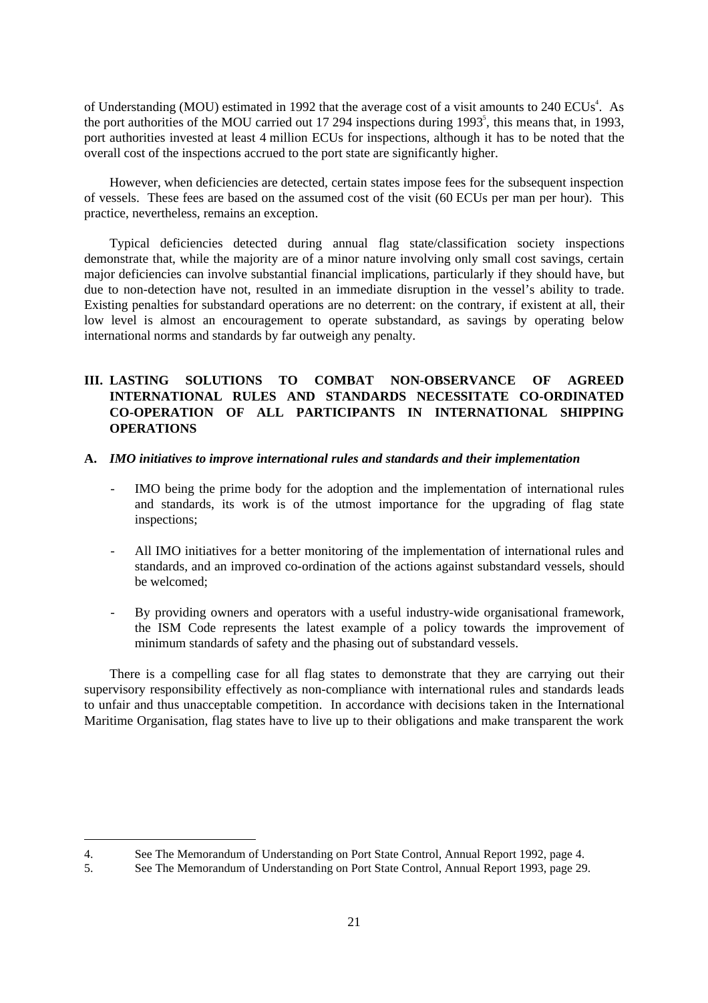of Understanding (MOU) estimated in 1992 that the average cost of a visit amounts to 240 ECUs<sup>4</sup>. As the port authorities of the MOU carried out 17 294 inspections during 1993<sup>5</sup>, this means that, in 1993, port authorities invested at least 4 million ECUs for inspections, although it has to be noted that the overall cost of the inspections accrued to the port state are significantly higher.

However, when deficiencies are detected, certain states impose fees for the subsequent inspection of vessels. These fees are based on the assumed cost of the visit (60 ECUs per man per hour). This practice, nevertheless, remains an exception.

Typical deficiencies detected during annual flag state/classification society inspections demonstrate that, while the majority are of a minor nature involving only small cost savings, certain major deficiencies can involve substantial financial implications, particularly if they should have, but due to non-detection have not, resulted in an immediate disruption in the vessel's ability to trade. Existing penalties for substandard operations are no deterrent: on the contrary, if existent at all, their low level is almost an encouragement to operate substandard, as savings by operating below international norms and standards by far outweigh any penalty*.*

# **III. LASTING SOLUTIONS TO COMBAT NON-OBSERVANCE OF AGREED INTERNATIONAL RULES AND STANDARDS NECESSITATE CO-ORDINATED CO-OPERATION OF ALL PARTICIPANTS IN INTERNATIONAL SHIPPING OPERATIONS**

#### **A.** *IMO initiatives to improve international rules and standards and their implementation*

- IMO being the prime body for the adoption and the implementation of international rules and standards, its work is of the utmost importance for the upgrading of flag state inspections;
- All IMO initiatives for a better monitoring of the implementation of international rules and standards, and an improved co-ordination of the actions against substandard vessels, should be welcomed;
- By providing owners and operators with a useful industry-wide organisational framework, the ISM Code represents the latest example of a policy towards the improvement of minimum standards of safety and the phasing out of substandard vessels.

There is a compelling case for all flag states to demonstrate that they are carrying out their supervisory responsibility effectively as non-compliance with international rules and standards leads to unfair and thus unacceptable competition. In accordance with decisions taken in the International Maritime Organisation, flag states have to live up to their obligations and make transparent the work

 $\overline{a}$ 

<sup>4.</sup> See The Memorandum of Understanding on Port State Control, Annual Report 1992, page 4.

<sup>5.</sup> See The Memorandum of Understanding on Port State Control, Annual Report 1993, page 29.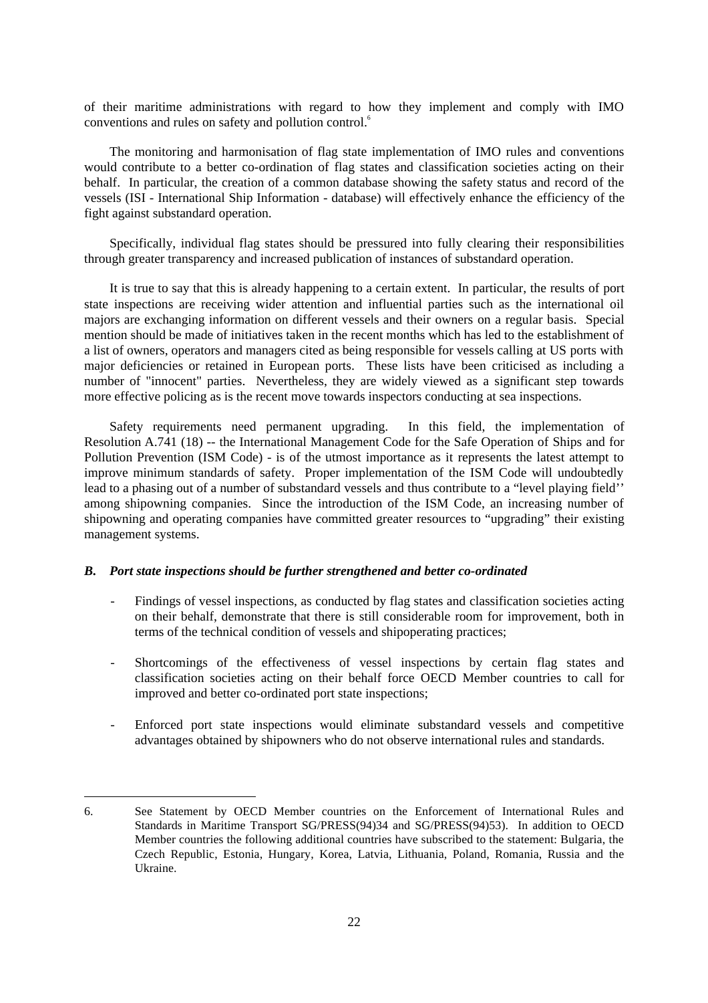of their maritime administrations with regard to how they implement and comply with IMO conventions and rules on safety and pollution control.<sup>6</sup>

The monitoring and harmonisation of flag state implementation of IMO rules and conventions would contribute to a better co-ordination of flag states and classification societies acting on their behalf. In particular, the creation of a common database showing the safety status and record of the vessels (ISI - International Ship Information - database) will effectively enhance the efficiency of the fight against substandard operation.

Specifically, individual flag states should be pressured into fully clearing their responsibilities through greater transparency and increased publication of instances of substandard operation.

It is true to say that this is already happening to a certain extent. In particular, the results of port state inspections are receiving wider attention and influential parties such as the international oil majors are exchanging information on different vessels and their owners on a regular basis. Special mention should be made of initiatives taken in the recent months which has led to the establishment of a list of owners, operators and managers cited as being responsible for vessels calling at US ports with major deficiencies or retained in European ports. These lists have been criticised as including a number of "innocent" parties. Nevertheless, they are widely viewed as a significant step towards more effective policing as is the recent move towards inspectors conducting at sea inspections.

Safety requirements need permanent upgrading. In this field, the implementation of Resolution A.741 (18) -- the International Management Code for the Safe Operation of Ships and for Pollution Prevention (ISM Code) - is of the utmost importance as it represents the latest attempt to improve minimum standards of safety. Proper implementation of the ISM Code will undoubtedly lead to a phasing out of a number of substandard vessels and thus contribute to a "level playing field'' among shipowning companies. Since the introduction of the ISM Code, an increasing number of shipowning and operating companies have committed greater resources to "upgrading" their existing management systems.

### *B. Port state inspections should be further strengthened and better co-ordinated*

 $\overline{a}$ 

- Findings of vessel inspections, as conducted by flag states and classification societies acting on their behalf, demonstrate that there is still considerable room for improvement, both in terms of the technical condition of vessels and shipoperating practices;
- Shortcomings of the effectiveness of vessel inspections by certain flag states and classification societies acting on their behalf force OECD Member countries to call for improved and better co-ordinated port state inspections;
- Enforced port state inspections would eliminate substandard vessels and competitive advantages obtained by shipowners who do not observe international rules and standards.

<sup>6.</sup> See Statement by OECD Member countries on the Enforcement of International Rules and Standards in Maritime Transport SG/PRESS(94)34 and SG/PRESS(94)53). In addition to OECD Member countries the following additional countries have subscribed to the statement: Bulgaria, the Czech Republic, Estonia, Hungary, Korea, Latvia, Lithuania, Poland, Romania, Russia and the Ukraine.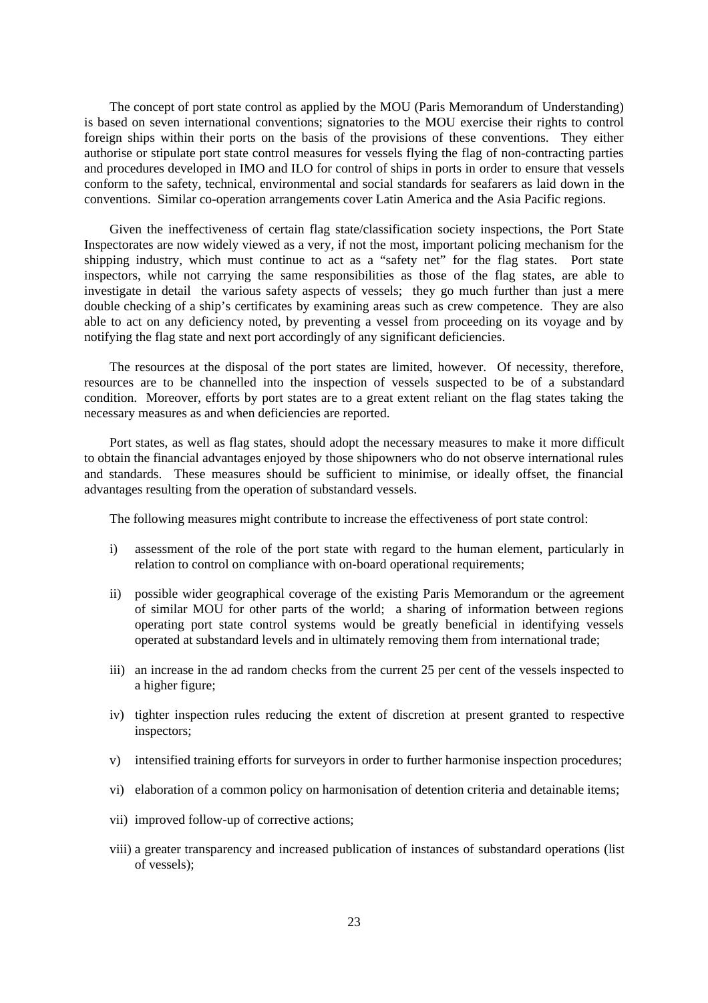The concept of port state control as applied by the MOU (Paris Memorandum of Understanding) is based on seven international conventions; signatories to the MOU exercise their rights to control foreign ships within their ports on the basis of the provisions of these conventions. They either authorise or stipulate port state control measures for vessels flying the flag of non-contracting parties and procedures developed in IMO and ILO for control of ships in ports in order to ensure that vessels conform to the safety, technical, environmental and social standards for seafarers as laid down in the conventions. Similar co-operation arrangements cover Latin America and the Asia Pacific regions.

Given the ineffectiveness of certain flag state/classification society inspections, the Port State Inspectorates are now widely viewed as a very, if not the most, important policing mechanism for the shipping industry, which must continue to act as a "safety net" for the flag states. Port state inspectors, while not carrying the same responsibilities as those of the flag states, are able to investigate in detail the various safety aspects of vessels; they go much further than just a mere double checking of a ship's certificates by examining areas such as crew competence. They are also able to act on any deficiency noted, by preventing a vessel from proceeding on its voyage and by notifying the flag state and next port accordingly of any significant deficiencies.

The resources at the disposal of the port states are limited, however. Of necessity, therefore, resources are to be channelled into the inspection of vessels suspected to be of a substandard condition. Moreover, efforts by port states are to a great extent reliant on the flag states taking the necessary measures as and when deficiencies are reported.

Port states, as well as flag states, should adopt the necessary measures to make it more difficult to obtain the financial advantages enjoyed by those shipowners who do not observe international rules and standards. These measures should be sufficient to minimise, or ideally offset, the financial advantages resulting from the operation of substandard vessels.

The following measures might contribute to increase the effectiveness of port state control:

- i) assessment of the role of the port state with regard to the human element, particularly in relation to control on compliance with on-board operational requirements;
- ii) possible wider geographical coverage of the existing Paris Memorandum or the agreement of similar MOU for other parts of the world; a sharing of information between regions operating port state control systems would be greatly beneficial in identifying vessels operated at substandard levels and in ultimately removing them from international trade;
- iii) an increase in the ad random checks from the current 25 per cent of the vessels inspected to a higher figure;
- iv) tighter inspection rules reducing the extent of discretion at present granted to respective inspectors;
- v) intensified training efforts for surveyors in order to further harmonise inspection procedures;
- vi) elaboration of a common policy on harmonisation of detention criteria and detainable items;
- vii) improved follow-up of corrective actions;
- viii) a greater transparency and increased publication of instances of substandard operations (list of vessels);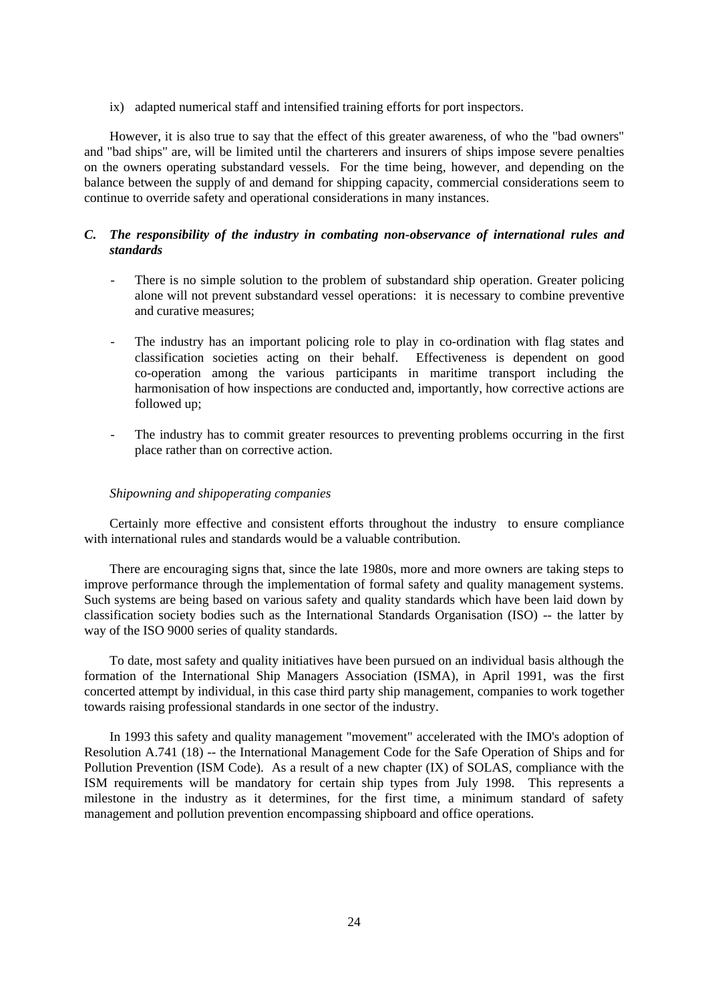ix) adapted numerical staff and intensified training efforts for port inspectors.

However, it is also true to say that the effect of this greater awareness, of who the "bad owners" and "bad ships" are, will be limited until the charterers and insurers of ships impose severe penalties on the owners operating substandard vessels. For the time being, however, and depending on the balance between the supply of and demand for shipping capacity, commercial considerations seem to continue to override safety and operational considerations in many instances.

### *C. The responsibility of the industry in combating non-observance of international rules and standards*

- There is no simple solution to the problem of substandard ship operation. Greater policing alone will not prevent substandard vessel operations: it is necessary to combine preventive and curative measures;
- The industry has an important policing role to play in co-ordination with flag states and classification societies acting on their behalf. Effectiveness is dependent on good co-operation among the various participants in maritime transport including the harmonisation of how inspections are conducted and, importantly, how corrective actions are followed up;
- The industry has to commit greater resources to preventing problems occurring in the first place rather than on corrective action.

#### *Shipowning and shipoperating companies*

Certainly more effective and consistent efforts throughout the industry to ensure compliance with international rules and standards would be a valuable contribution.

There are encouraging signs that, since the late 1980s, more and more owners are taking steps to improve performance through the implementation of formal safety and quality management systems. Such systems are being based on various safety and quality standards which have been laid down by classification society bodies such as the International Standards Organisation (ISO) -- the latter by way of the ISO 9000 series of quality standards.

To date, most safety and quality initiatives have been pursued on an individual basis although the formation of the International Ship Managers Association (ISMA), in April 1991, was the first concerted attempt by individual, in this case third party ship management, companies to work together towards raising professional standards in one sector of the industry.

In 1993 this safety and quality management "movement" accelerated with the IMO's adoption of Resolution A.741 (18) -- the International Management Code for the Safe Operation of Ships and for Pollution Prevention (ISM Code). As a result of a new chapter (IX) of SOLAS, compliance with the ISM requirements will be mandatory for certain ship types from July 1998. This represents a milestone in the industry as it determines, for the first time, a minimum standard of safety management and pollution prevention encompassing shipboard and office operations.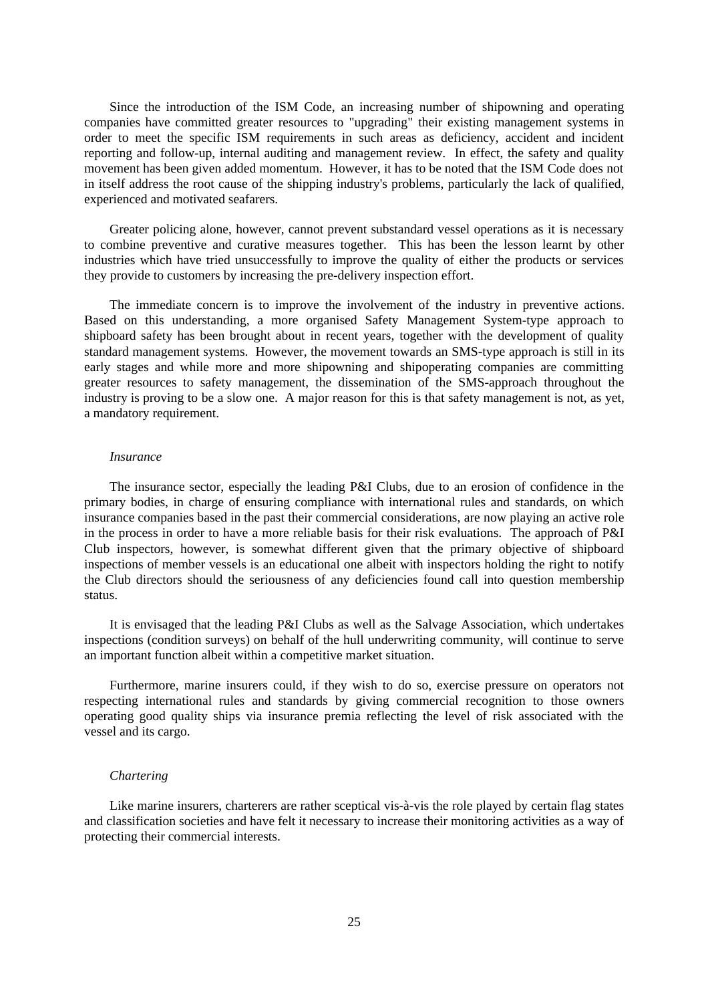Since the introduction of the ISM Code, an increasing number of shipowning and operating companies have committed greater resources to "upgrading" their existing management systems in order to meet the specific ISM requirements in such areas as deficiency, accident and incident reporting and follow-up, internal auditing and management review. In effect, the safety and quality movement has been given added momentum. However, it has to be noted that the ISM Code does not in itself address the root cause of the shipping industry's problems, particularly the lack of qualified, experienced and motivated seafarers.

Greater policing alone, however, cannot prevent substandard vessel operations as it is necessary to combine preventive and curative measures together. This has been the lesson learnt by other industries which have tried unsuccessfully to improve the quality of either the products or services they provide to customers by increasing the pre-delivery inspection effort.

The immediate concern is to improve the involvement of the industry in preventive actions. Based on this understanding, a more organised Safety Management System-type approach to shipboard safety has been brought about in recent years, together with the development of quality standard management systems. However, the movement towards an SMS-type approach is still in its early stages and while more and more shipowning and shipoperating companies are committing greater resources to safety management, the dissemination of the SMS-approach throughout the industry is proving to be a slow one. A major reason for this is that safety management is not, as yet, a mandatory requirement.

#### *Insurance*

The insurance sector, especially the leading P&I Clubs, due to an erosion of confidence in the primary bodies, in charge of ensuring compliance with international rules and standards, on which insurance companies based in the past their commercial considerations, are now playing an active role in the process in order to have a more reliable basis for their risk evaluations. The approach of P&I Club inspectors, however, is somewhat different given that the primary objective of shipboard inspections of member vessels is an educational one albeit with inspectors holding the right to notify the Club directors should the seriousness of any deficiencies found call into question membership status.

It is envisaged that the leading P&I Clubs as well as the Salvage Association, which undertakes inspections (condition surveys) on behalf of the hull underwriting community, will continue to serve an important function albeit within a competitive market situation.

Furthermore, marine insurers could, if they wish to do so, exercise pressure on operators not respecting international rules and standards by giving commercial recognition to those owners operating good quality ships via insurance premia reflecting the level of risk associated with the vessel and its cargo.

#### *Chartering*

Like marine insurers, charterers are rather sceptical vis-à-vis the role played by certain flag states and classification societies and have felt it necessary to increase their monitoring activities as a way of protecting their commercial interests.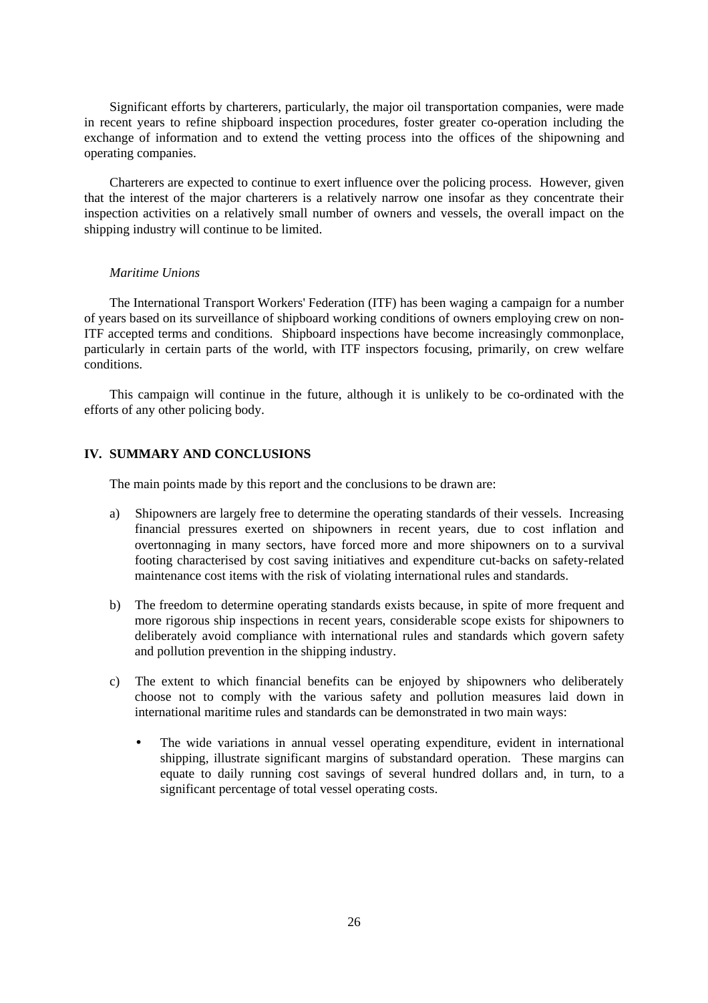Significant efforts by charterers, particularly, the major oil transportation companies, were made in recent years to refine shipboard inspection procedures, foster greater co-operation including the exchange of information and to extend the vetting process into the offices of the shipowning and operating companies.

Charterers are expected to continue to exert influence over the policing process. However, given that the interest of the major charterers is a relatively narrow one insofar as they concentrate their inspection activities on a relatively small number of owners and vessels, the overall impact on the shipping industry will continue to be limited.

### *Maritime Unions*

The International Transport Workers' Federation (ITF) has been waging a campaign for a number of years based on its surveillance of shipboard working conditions of owners employing crew on non-ITF accepted terms and conditions. Shipboard inspections have become increasingly commonplace, particularly in certain parts of the world, with ITF inspectors focusing, primarily, on crew welfare conditions.

This campaign will continue in the future, although it is unlikely to be co-ordinated with the efforts of any other policing body.

### **IV. SUMMARY AND CONCLUSIONS**

The main points made by this report and the conclusions to be drawn are:

- a) Shipowners are largely free to determine the operating standards of their vessels. Increasing financial pressures exerted on shipowners in recent years, due to cost inflation and overtonnaging in many sectors, have forced more and more shipowners on to a survival footing characterised by cost saving initiatives and expenditure cut-backs on safety-related maintenance cost items with the risk of violating international rules and standards.
- b) The freedom to determine operating standards exists because, in spite of more frequent and more rigorous ship inspections in recent years, considerable scope exists for shipowners to deliberately avoid compliance with international rules and standards which govern safety and pollution prevention in the shipping industry.
- c) The extent to which financial benefits can be enjoyed by shipowners who deliberately choose not to comply with the various safety and pollution measures laid down in international maritime rules and standards can be demonstrated in two main ways:
	- The wide variations in annual vessel operating expenditure, evident in international shipping, illustrate significant margins of substandard operation. These margins can equate to daily running cost savings of several hundred dollars and, in turn, to a significant percentage of total vessel operating costs.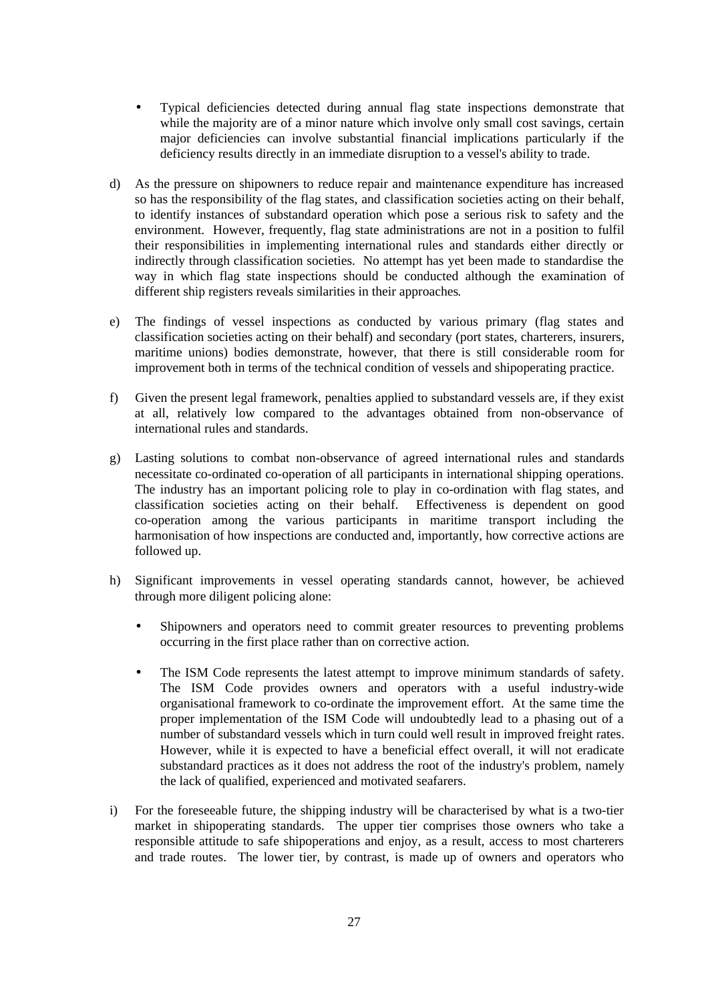- Typical deficiencies detected during annual flag state inspections demonstrate that while the majority are of a minor nature which involve only small cost savings, certain major deficiencies can involve substantial financial implications particularly if the deficiency results directly in an immediate disruption to a vessel's ability to trade.
- d) As the pressure on shipowners to reduce repair and maintenance expenditure has increased so has the responsibility of the flag states, and classification societies acting on their behalf, to identify instances of substandard operation which pose a serious risk to safety and the environment. However, frequently, flag state administrations are not in a position to fulfil their responsibilities in implementing international rules and standards either directly or indirectly through classification societies. No attempt has yet been made to standardise the way in which flag state inspections should be conducted although the examination of different ship registers reveals similarities in their approaches*.*
- e) The findings of vessel inspections as conducted by various primary (flag states and classification societies acting on their behalf) and secondary (port states, charterers, insurers, maritime unions) bodies demonstrate, however, that there is still considerable room for improvement both in terms of the technical condition of vessels and shipoperating practice.
- f) Given the present legal framework, penalties applied to substandard vessels are, if they exist at all, relatively low compared to the advantages obtained from non-observance of international rules and standards.
- g) Lasting solutions to combat non-observance of agreed international rules and standards necessitate co-ordinated co-operation of all participants in international shipping operations. The industry has an important policing role to play in co-ordination with flag states, and classification societies acting on their behalf. Effectiveness is dependent on good co-operation among the various participants in maritime transport including the harmonisation of how inspections are conducted and, importantly, how corrective actions are followed up.
- h) Significant improvements in vessel operating standards cannot, however, be achieved through more diligent policing alone:
	- Shipowners and operators need to commit greater resources to preventing problems occurring in the first place rather than on corrective action.
	- The ISM Code represents the latest attempt to improve minimum standards of safety. The ISM Code provides owners and operators with a useful industry-wide organisational framework to co-ordinate the improvement effort. At the same time the proper implementation of the ISM Code will undoubtedly lead to a phasing out of a number of substandard vessels which in turn could well result in improved freight rates. However, while it is expected to have a beneficial effect overall, it will not eradicate substandard practices as it does not address the root of the industry's problem, namely the lack of qualified, experienced and motivated seafarers.
- i) For the foreseeable future, the shipping industry will be characterised by what is a two-tier market in shipoperating standards. The upper tier comprises those owners who take a responsible attitude to safe shipoperations and enjoy, as a result, access to most charterers and trade routes. The lower tier, by contrast, is made up of owners and operators who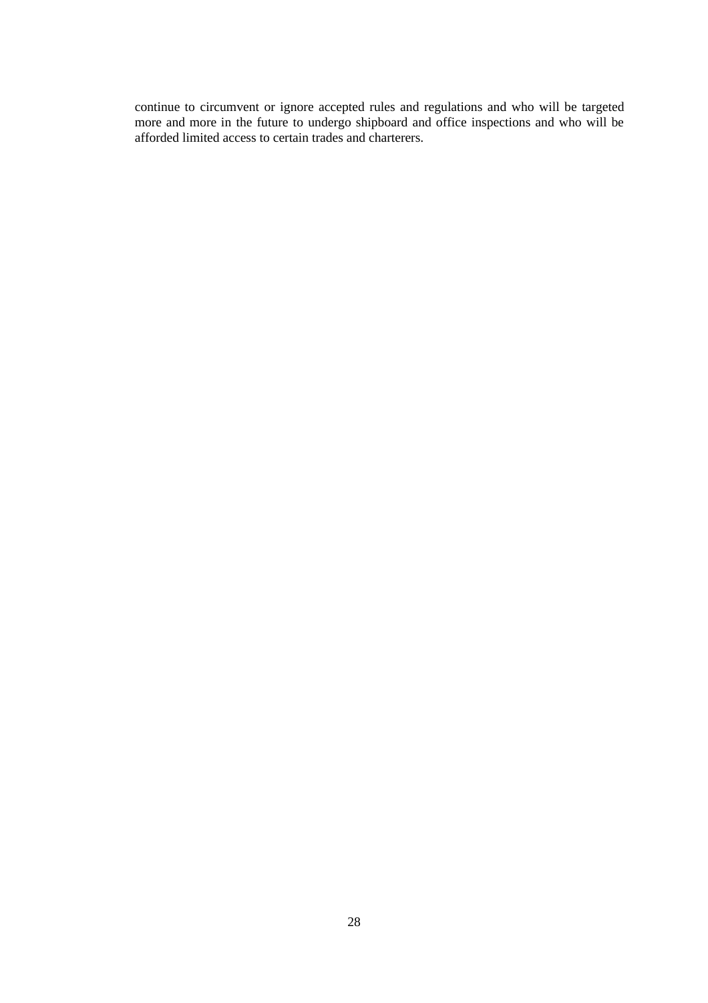continue to circumvent or ignore accepted rules and regulations and who will be targeted more and more in the future to undergo shipboard and office inspections and who will be afforded limited access to certain trades and charterers.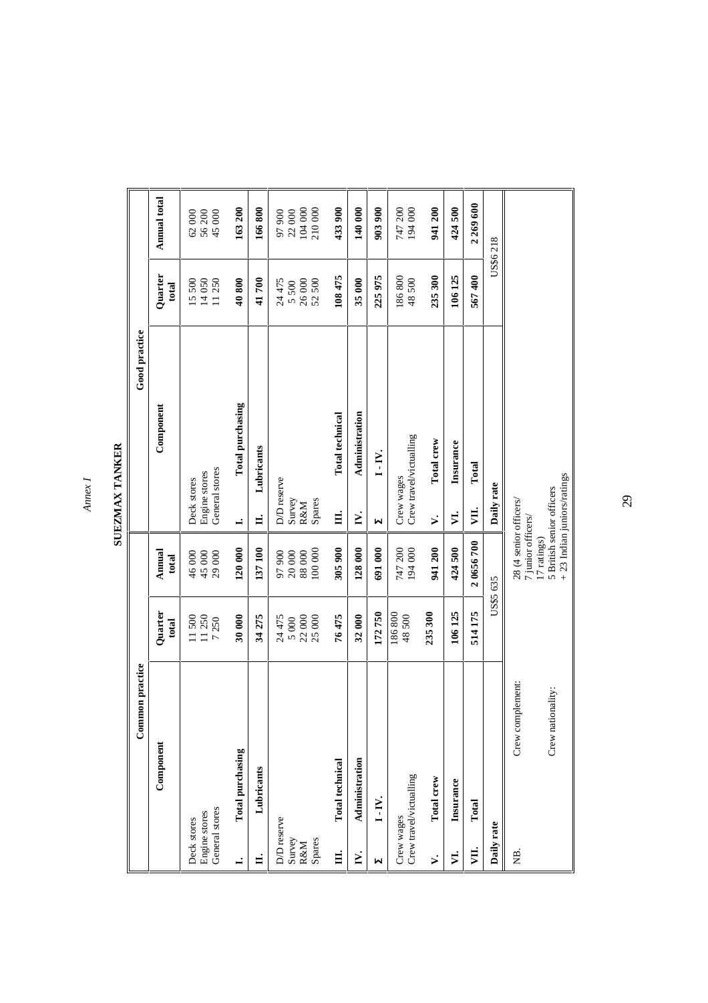*Annex I*

SUEZMAX TANKER **SUEZMAX TANKER**

|                                                | Common practice   |                         |                                                                          |                                                | Good practice           |                         |                           |
|------------------------------------------------|-------------------|-------------------------|--------------------------------------------------------------------------|------------------------------------------------|-------------------------|-------------------------|---------------------------|
|                                                | Component         | Quarter<br>total        | Annual<br>total                                                          |                                                | Component               | Quarter<br>total        | Annual total              |
| General stores<br>Engine stores<br>Deck stores |                   | 11 250<br>11500<br>7250 | 45 000<br>29 000<br>46 000                                               | General stores<br>Engine stores<br>Deck stores |                         | 11250<br>14050<br>15500 | 56 200<br>45 000<br>62000 |
| Total purchasing<br>ī                          |                   | 30 000                  | 120 000                                                                  | $\dot{}$                                       | Total purchasing        | 40800                   | 163 200                   |
| Lubricants<br>H.                               |                   | 34 275                  | 137100                                                                   | 出                                              | Lubricants              | 41700                   | 166800                    |
| D/D reserve<br>Survey                          |                   | 24 475<br>5 000         | 97900<br>$20\ 000$                                                       | D/D reserve<br>Survey                          |                         | 24475<br>5500           | 97900<br>22000            |
| Spares<br><b>R&amp;M</b>                       |                   | 22 000<br>25 000        | 100 000<br>88 000                                                        | Spares<br><b>R&amp;M</b>                       |                         | 26000<br>52500          | 104 000<br>210000         |
| <b>Total</b> technical<br>Ħ.                   |                   | 76475                   | 305900                                                                   | Ħ.                                             | Total technical         | 108 475                 | 433900                    |
| Administration<br>Ĕ.                           |                   | 32000                   | 128 000                                                                  | N.                                             | Administration          | 35000                   | 140 000                   |
| $I - IV.$<br>М                                 |                   | 172750                  | 691000                                                                   | Μ                                              | $I-IV.$                 | 225 975                 | 9039900                   |
| Crew travel/victualling<br>Crew wages          |                   | 186800<br>48500         | 194000<br>747 200                                                        | Crew wages                                     | Crew travel/victualling | 186800<br>48500         | 747 200<br>194 000        |
| Total crew<br>≯.                               |                   | 235 300                 | 941200                                                                   | ⊱.`                                            | Total crew              | 235 300                 | 941 200                   |
| Insurance<br>♬                                 |                   | 106125                  | 424500                                                                   | VI.                                            | Insurance               | 106125                  | 424500                    |
| Total<br>VЦ.                                   |                   | 514175                  | 20656700                                                                 | ĮЦ,                                            | Total                   | 567400                  | 2 269 600                 |
| Daily rate                                     |                   | US\$5 635               |                                                                          | Daily rate                                     |                         |                         | US\$6 218                 |
| 覓.                                             | Crew complement:  |                         | 28 (4 senior officers/<br>7 junior officers/                             |                                                |                         |                         |                           |
|                                                | Crew nationality: |                         | $+23$ Indian juniors/ratings<br>5 British senior officers<br>17 ratings) |                                                |                         |                         |                           |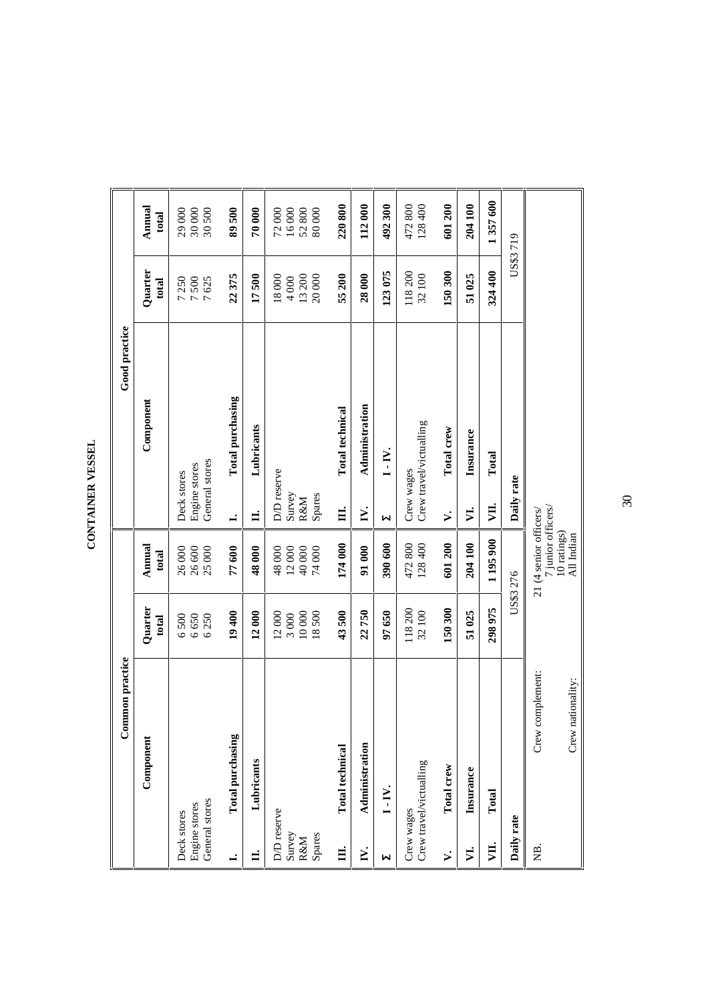| Ĩ.     |
|--------|
| г<br>ł |
| š      |
|        |

| Common practice                                 |                                 |                                                                           |                                                   | Good practice           |                                 |                                  |
|-------------------------------------------------|---------------------------------|---------------------------------------------------------------------------|---------------------------------------------------|-------------------------|---------------------------------|----------------------------------|
| Component                                       | Quarter<br>total                | Annual<br>total                                                           |                                                   | Component               | Quarter<br>total                | Annual<br>total                  |
| General stores<br>Engine stores<br>Deck stores  | 6650<br>6250<br>6500            | 25000<br>26 600<br>26000                                                  | General stores<br>Engine stores<br>Deck stores    |                         | 7500<br>7250<br>7625            | 29 000<br>30 000<br>30 500       |
| Total purchasing<br>$\mathbf{I}$                | 19400                           | 77600                                                                     | $\mathbf{I}$                                      | Total purchasing        | 22375                           | 89500                            |
| Lubricants<br>H.                                | 12000                           | 48000                                                                     | $\mathbf{I}$                                      | Lubricants              | 17500                           | 70000                            |
| D/D reserve<br>Survey<br>Spares<br>R&M          | 10000<br>12000<br>18500<br>3000 | 48000<br>12000<br>40000<br>74000                                          | D/D reserve<br>Spares<br>Survey<br><b>R&amp;M</b> |                         | 13200<br>20000<br>18000<br>4000 | 72000<br>16000<br>52800<br>80000 |
| <b>Total</b> technical<br>Щ.                    | 43500                           | 174 000                                                                   | $\mathbf{H}$                                      | Total technical         | 55 200                          | 220800                           |
| Administration<br>N.                            | 22750                           | 91000                                                                     | N.                                                | Administration          | 28 000                          | 112000                           |
| $I - IV.$<br>Ы                                  | 97650                           | 390 600                                                                   | N                                                 | $1-IV.$                 | 123075                          | 492300                           |
| Crew travel/victualling<br>Crew wages           | 118200<br>32100                 | 472800<br>128 400                                                         | Crew wages                                        | Crew travel/victualling | 118200<br>32100                 | 472800<br>128400                 |
| Total crew<br>₹.                                | 150300                          | 601200                                                                    | ⊳๋                                                | Total crew              | 150300                          | 601200                           |
| Insurance<br>$\mathbf{\Sigma}$                  | 51025                           | 204 100                                                                   | И.                                                | Insurance               | 51025                           | 204100                           |
| Total<br>VЦ.                                    | 298975                          | 1195900                                                                   | ţП.                                               | Total                   | 324 400                         | 1357600                          |
| Daily rate                                      |                                 | US\$3 276                                                                 | Daily rate                                        |                         | US\$3719                        |                                  |
| Crew complement:<br>Crew nationality:<br>9<br>2 |                                 | 7 junior officers/<br>21 (4 senior officers/<br>10 ratings)<br>All Indian |                                                   |                         |                                 |                                  |